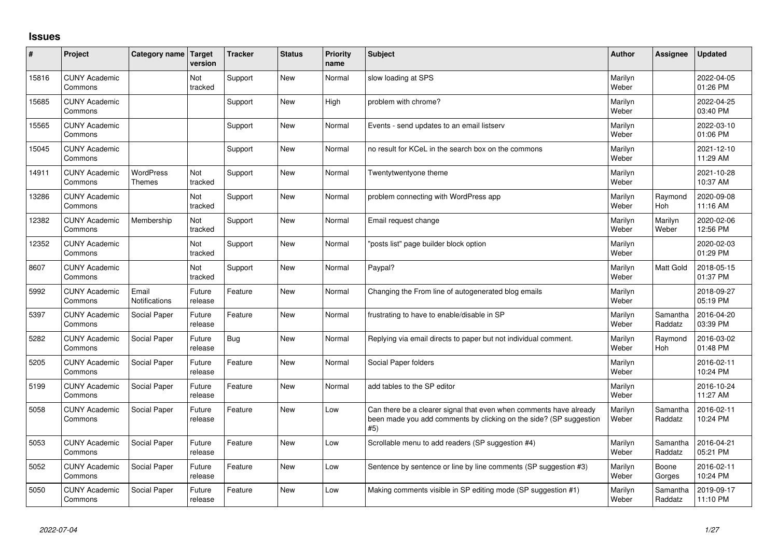## **Issues**

| ∦     | Project                         | Category name          | <b>Target</b><br>version | <b>Tracker</b> | <b>Status</b> | <b>Priority</b><br>name | <b>Subject</b>                                                                                                                                  | <b>Author</b>    | Assignee            | <b>Updated</b>         |
|-------|---------------------------------|------------------------|--------------------------|----------------|---------------|-------------------------|-------------------------------------------------------------------------------------------------------------------------------------------------|------------------|---------------------|------------------------|
| 15816 | <b>CUNY Academic</b><br>Commons |                        | Not<br>tracked           | Support        | <b>New</b>    | Normal                  | slow loading at SPS                                                                                                                             | Marilyn<br>Weber |                     | 2022-04-05<br>01:26 PM |
| 15685 | <b>CUNY Academic</b><br>Commons |                        |                          | Support        | <b>New</b>    | High                    | problem with chrome?                                                                                                                            | Marilyn<br>Weber |                     | 2022-04-25<br>03:40 PM |
| 15565 | <b>CUNY Academic</b><br>Commons |                        |                          | Support        | <b>New</b>    | Normal                  | Events - send updates to an email listserv                                                                                                      | Marilyn<br>Weber |                     | 2022-03-10<br>01:06 PM |
| 15045 | <b>CUNY Academic</b><br>Commons |                        |                          | Support        | <b>New</b>    | Normal                  | no result for KCeL in the search box on the commons                                                                                             | Marilyn<br>Weber |                     | 2021-12-10<br>11:29 AM |
| 14911 | <b>CUNY Academic</b><br>Commons | WordPress<br>Themes    | Not<br>tracked           | Support        | <b>New</b>    | Normal                  | Twentytwentyone theme                                                                                                                           | Marilyn<br>Weber |                     | 2021-10-28<br>10:37 AM |
| 13286 | <b>CUNY Academic</b><br>Commons |                        | Not<br>tracked           | Support        | <b>New</b>    | Normal                  | problem connecting with WordPress app                                                                                                           | Marilyn<br>Weber | Raymond<br>Hoh      | 2020-09-08<br>11:16 AM |
| 12382 | <b>CUNY Academic</b><br>Commons | Membership             | Not<br>tracked           | Support        | <b>New</b>    | Normal                  | Email request change                                                                                                                            | Marilyn<br>Weber | Marilyn<br>Weber    | 2020-02-06<br>12:56 PM |
| 12352 | <b>CUNY Academic</b><br>Commons |                        | Not<br>tracked           | Support        | <b>New</b>    | Normal                  | 'posts list" page builder block option                                                                                                          | Marilyn<br>Weber |                     | 2020-02-03<br>01:29 PM |
| 8607  | <b>CUNY Academic</b><br>Commons |                        | Not<br>tracked           | Support        | <b>New</b>    | Normal                  | Paypal?                                                                                                                                         | Marilyn<br>Weber | <b>Matt Gold</b>    | 2018-05-15<br>01:37 PM |
| 5992  | <b>CUNY Academic</b><br>Commons | Email<br>Notifications | Future<br>release        | Feature        | <b>New</b>    | Normal                  | Changing the From line of autogenerated blog emails                                                                                             | Marilyn<br>Weber |                     | 2018-09-27<br>05:19 PM |
| 5397  | <b>CUNY Academic</b><br>Commons | Social Paper           | Future<br>release        | Feature        | <b>New</b>    | Normal                  | frustrating to have to enable/disable in SP                                                                                                     | Marilyn<br>Weber | Samantha<br>Raddatz | 2016-04-20<br>03:39 PM |
| 5282  | <b>CUNY Academic</b><br>Commons | Social Paper           | Future<br>release        | <b>Bug</b>     | <b>New</b>    | Normal                  | Replying via email directs to paper but not individual comment.                                                                                 | Marilyn<br>Weber | Raymond<br>Hoh      | 2016-03-02<br>01:48 PM |
| 5205  | <b>CUNY Academic</b><br>Commons | Social Paper           | Future<br>release        | Feature        | <b>New</b>    | Normal                  | Social Paper folders                                                                                                                            | Marilyn<br>Weber |                     | 2016-02-11<br>10:24 PM |
| 5199  | <b>CUNY Academic</b><br>Commons | Social Paper           | Future<br>release        | Feature        | <b>New</b>    | Normal                  | add tables to the SP editor                                                                                                                     | Marilyn<br>Weber |                     | 2016-10-24<br>11:27 AM |
| 5058  | <b>CUNY Academic</b><br>Commons | Social Paper           | Future<br>release        | Feature        | <b>New</b>    | Low                     | Can there be a clearer signal that even when comments have already<br>been made you add comments by clicking on the side? (SP suggestion<br>#5) | Marilyn<br>Weber | Samantha<br>Raddatz | 2016-02-11<br>10:24 PM |
| 5053  | <b>CUNY Academic</b><br>Commons | Social Paper           | Future<br>release        | Feature        | <b>New</b>    | Low                     | Scrollable menu to add readers (SP suggestion #4)                                                                                               | Marilyn<br>Weber | Samantha<br>Raddatz | 2016-04-21<br>05:21 PM |
| 5052  | <b>CUNY Academic</b><br>Commons | Social Paper           | Future<br>release        | Feature        | <b>New</b>    | Low                     | Sentence by sentence or line by line comments (SP suggestion #3)                                                                                | Marilyn<br>Weber | Boone<br>Gorges     | 2016-02-11<br>10:24 PM |
| 5050  | <b>CUNY Academic</b><br>Commons | Social Paper           | Future<br>release        | Feature        | <b>New</b>    | Low                     | Making comments visible in SP editing mode (SP suggestion #1)                                                                                   | Marilyn<br>Weber | Samantha<br>Raddatz | 2019-09-17<br>11:10 PM |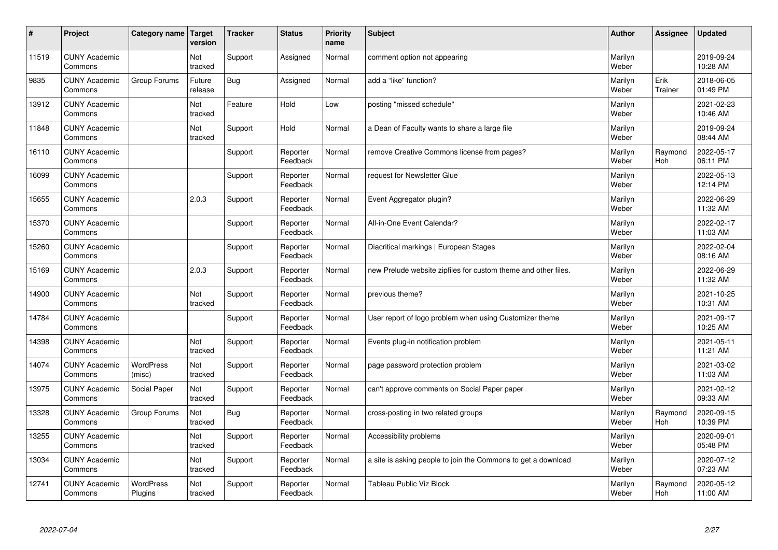| #     | Project                         | Category name               | <b>Target</b><br>version | <b>Tracker</b> | <b>Status</b>        | <b>Priority</b><br>name | <b>Subject</b>                                                 | <b>Author</b>    | Assignee        | <b>Updated</b>         |
|-------|---------------------------------|-----------------------------|--------------------------|----------------|----------------------|-------------------------|----------------------------------------------------------------|------------------|-----------------|------------------------|
| 11519 | <b>CUNY Academic</b><br>Commons |                             | Not<br>tracked           | Support        | Assigned             | Normal                  | comment option not appearing                                   | Marilyn<br>Weber |                 | 2019-09-24<br>10:28 AM |
| 9835  | <b>CUNY Academic</b><br>Commons | Group Forums                | Future<br>release        | Bug            | Assigned             | Normal                  | add a "like" function?                                         | Marilyn<br>Weber | Erik<br>Trainer | 2018-06-05<br>01:49 PM |
| 13912 | <b>CUNY Academic</b><br>Commons |                             | Not<br>tracked           | Feature        | Hold                 | Low                     | posting "missed schedule"                                      | Marilyn<br>Weber |                 | 2021-02-23<br>10:46 AM |
| 11848 | <b>CUNY Academic</b><br>Commons |                             | Not<br>tracked           | Support        | Hold                 | Normal                  | a Dean of Faculty wants to share a large file                  | Marilyn<br>Weber |                 | 2019-09-24<br>08:44 AM |
| 16110 | <b>CUNY Academic</b><br>Commons |                             |                          | Support        | Reporter<br>Feedback | Normal                  | remove Creative Commons license from pages?                    | Marilyn<br>Weber | Raymond<br>Hoh  | 2022-05-17<br>06:11 PM |
| 16099 | <b>CUNY Academic</b><br>Commons |                             |                          | Support        | Reporter<br>Feedback | Normal                  | request for Newsletter Glue                                    | Marilyn<br>Weber |                 | 2022-05-13<br>12:14 PM |
| 15655 | <b>CUNY Academic</b><br>Commons |                             | 2.0.3                    | Support        | Reporter<br>Feedback | Normal                  | Event Aggregator plugin?                                       | Marilyn<br>Weber |                 | 2022-06-29<br>11:32 AM |
| 15370 | <b>CUNY Academic</b><br>Commons |                             |                          | Support        | Reporter<br>Feedback | Normal                  | All-in-One Event Calendar?                                     | Marilyn<br>Weber |                 | 2022-02-17<br>11:03 AM |
| 15260 | <b>CUNY Academic</b><br>Commons |                             |                          | Support        | Reporter<br>Feedback | Normal                  | Diacritical markings   European Stages                         | Marilyn<br>Weber |                 | 2022-02-04<br>08:16 AM |
| 15169 | <b>CUNY Academic</b><br>Commons |                             | 2.0.3                    | Support        | Reporter<br>Feedback | Normal                  | new Prelude website zipfiles for custom theme and other files. | Marilyn<br>Weber |                 | 2022-06-29<br>11:32 AM |
| 14900 | <b>CUNY Academic</b><br>Commons |                             | Not<br>tracked           | Support        | Reporter<br>Feedback | Normal                  | previous theme?                                                | Marilyn<br>Weber |                 | 2021-10-25<br>10:31 AM |
| 14784 | <b>CUNY Academic</b><br>Commons |                             |                          | Support        | Reporter<br>Feedback | Normal                  | User report of logo problem when using Customizer theme        | Marilyn<br>Weber |                 | 2021-09-17<br>10:25 AM |
| 14398 | <b>CUNY Academic</b><br>Commons |                             | Not<br>tracked           | Support        | Reporter<br>Feedback | Normal                  | Events plug-in notification problem                            | Marilyn<br>Weber |                 | 2021-05-11<br>11:21 AM |
| 14074 | <b>CUNY Academic</b><br>Commons | <b>WordPress</b><br>(misc)  | Not<br>tracked           | Support        | Reporter<br>Feedback | Normal                  | page password protection problem                               | Marilyn<br>Weber |                 | 2021-03-02<br>11:03 AM |
| 13975 | <b>CUNY Academic</b><br>Commons | Social Paper                | Not<br>tracked           | Support        | Reporter<br>Feedback | Normal                  | can't approve comments on Social Paper paper                   | Marilyn<br>Weber |                 | 2021-02-12<br>09:33 AM |
| 13328 | <b>CUNY Academic</b><br>Commons | Group Forums                | Not<br>tracked           | Bug            | Reporter<br>Feedback | Normal                  | cross-posting in two related groups                            | Marilyn<br>Weber | Raymond<br>Hoh  | 2020-09-15<br>10:39 PM |
| 13255 | <b>CUNY Academic</b><br>Commons |                             | Not<br>tracked           | Support        | Reporter<br>Feedback | Normal                  | Accessibility problems                                         | Marilyn<br>Weber |                 | 2020-09-01<br>05:48 PM |
| 13034 | <b>CUNY Academic</b><br>Commons |                             | Not<br>tracked           | Support        | Reporter<br>Feedback | Normal                  | a site is asking people to join the Commons to get a download  | Marilyn<br>Weber |                 | 2020-07-12<br>07:23 AM |
| 12741 | <b>CUNY Academic</b><br>Commons | <b>WordPress</b><br>Plugins | Not<br>tracked           | Support        | Reporter<br>Feedback | Normal                  | Tableau Public Viz Block                                       | Marilyn<br>Weber | Raymond<br>Hoh  | 2020-05-12<br>11:00 AM |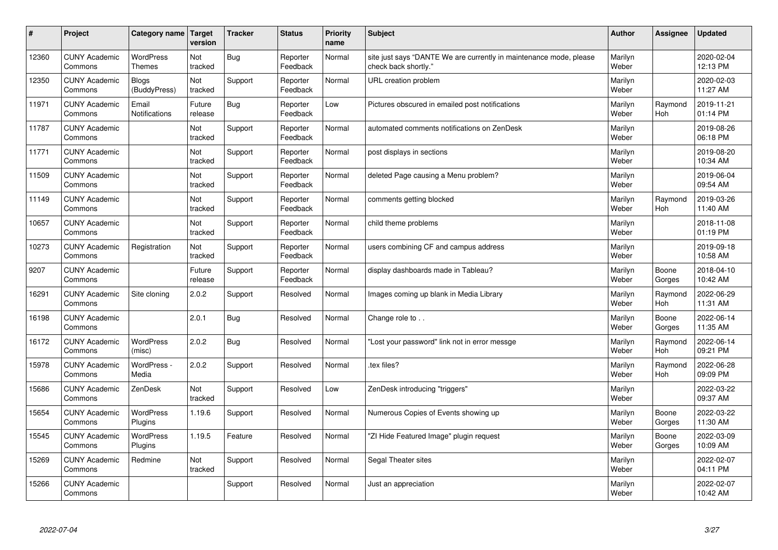| #     | Project                         | Category name   Target            | version           | <b>Tracker</b> | <b>Status</b>        | Priority<br>name | <b>Subject</b>                                                                             | <b>Author</b>    | <b>Assignee</b>       | <b>Updated</b>         |
|-------|---------------------------------|-----------------------------------|-------------------|----------------|----------------------|------------------|--------------------------------------------------------------------------------------------|------------------|-----------------------|------------------------|
| 12360 | <b>CUNY Academic</b><br>Commons | <b>WordPress</b><br><b>Themes</b> | Not<br>tracked    | <b>Bug</b>     | Reporter<br>Feedback | Normal           | site just says "DANTE We are currently in maintenance mode, please<br>check back shortly." | Marilyn<br>Weber |                       | 2020-02-04<br>12:13 PM |
| 12350 | <b>CUNY Academic</b><br>Commons | <b>Blogs</b><br>(BuddyPress)      | Not<br>tracked    | Support        | Reporter<br>Feedback | Normal           | URL creation problem                                                                       | Marilyn<br>Weber |                       | 2020-02-03<br>11:27 AM |
| 11971 | <b>CUNY Academic</b><br>Commons | Email<br><b>Notifications</b>     | Future<br>release | Bug            | Reporter<br>Feedback | Low              | Pictures obscured in emailed post notifications                                            | Marilyn<br>Weber | Raymond<br><b>Hoh</b> | 2019-11-21<br>01:14 PM |
| 11787 | <b>CUNY Academic</b><br>Commons |                                   | Not<br>tracked    | Support        | Reporter<br>Feedback | Normal           | automated comments notifications on ZenDesk                                                | Marilyn<br>Weber |                       | 2019-08-26<br>06:18 PM |
| 11771 | <b>CUNY Academic</b><br>Commons |                                   | Not<br>tracked    | Support        | Reporter<br>Feedback | Normal           | post displays in sections                                                                  | Marilyn<br>Weber |                       | 2019-08-20<br>10:34 AM |
| 11509 | <b>CUNY Academic</b><br>Commons |                                   | Not<br>tracked    | Support        | Reporter<br>Feedback | Normal           | deleted Page causing a Menu problem?                                                       | Marilyn<br>Weber |                       | 2019-06-04<br>09:54 AM |
| 11149 | <b>CUNY Academic</b><br>Commons |                                   | Not<br>tracked    | Support        | Reporter<br>Feedback | Normal           | comments getting blocked                                                                   | Marilyn<br>Weber | Raymond<br><b>Hoh</b> | 2019-03-26<br>11:40 AM |
| 10657 | <b>CUNY Academic</b><br>Commons |                                   | Not<br>tracked    | Support        | Reporter<br>Feedback | Normal           | child theme problems                                                                       | Marilyn<br>Weber |                       | 2018-11-08<br>01:19 PM |
| 10273 | <b>CUNY Academic</b><br>Commons | Registration                      | Not<br>tracked    | Support        | Reporter<br>Feedback | Normal           | users combining CF and campus address                                                      | Marilyn<br>Weber |                       | 2019-09-18<br>10:58 AM |
| 9207  | <b>CUNY Academic</b><br>Commons |                                   | Future<br>release | Support        | Reporter<br>Feedback | Normal           | display dashboards made in Tableau?                                                        | Marilyn<br>Weber | Boone<br>Gorges       | 2018-04-10<br>10:42 AM |
| 16291 | <b>CUNY Academic</b><br>Commons | Site cloning                      | 2.0.2             | Support        | Resolved             | Normal           | Images coming up blank in Media Library                                                    | Marilyn<br>Weber | Raymond<br>Hoh        | 2022-06-29<br>11:31 AM |
| 16198 | <b>CUNY Academic</b><br>Commons |                                   | 2.0.1             | <b>Bug</b>     | Resolved             | Normal           | Change role to                                                                             | Marilyn<br>Weber | Boone<br>Gorges       | 2022-06-14<br>11:35 AM |
| 16172 | <b>CUNY Academic</b><br>Commons | <b>WordPress</b><br>(misc)        | 2.0.2             | Bug            | Resolved             | Normal           | 'Lost your password" link not in error messge                                              | Marilyn<br>Weber | Raymond<br>Hoh        | 2022-06-14<br>09:21 PM |
| 15978 | <b>CUNY Academic</b><br>Commons | WordPress -<br>Media              | 2.0.2             | Support        | Resolved             | Normal           | tex files?                                                                                 | Marilyn<br>Weber | Raymond<br>Hoh        | 2022-06-28<br>09:09 PM |
| 15686 | <b>CUNY Academic</b><br>Commons | ZenDesk                           | Not<br>tracked    | Support        | Resolved             | Low              | ZenDesk introducing "triggers"                                                             | Marilyn<br>Weber |                       | 2022-03-22<br>09:37 AM |
| 15654 | <b>CUNY Academic</b><br>Commons | WordPress<br>Plugins              | 1.19.6            | Support        | Resolved             | Normal           | Numerous Copies of Events showing up                                                       | Marilyn<br>Weber | Boone<br>Gorges       | 2022-03-22<br>11:30 AM |
| 15545 | <b>CUNY Academic</b><br>Commons | WordPress<br>Plugins              | 1.19.5            | Feature        | Resolved             | Normal           | 'ZI Hide Featured Image" plugin request                                                    | Marilyn<br>Weber | Boone<br>Gorges       | 2022-03-09<br>10:09 AM |
| 15269 | <b>CUNY Academic</b><br>Commons | Redmine                           | Not<br>tracked    | Support        | Resolved             | Normal           | Segal Theater sites                                                                        | Marilyn<br>Weber |                       | 2022-02-07<br>04:11 PM |
| 15266 | <b>CUNY Academic</b><br>Commons |                                   |                   | Support        | Resolved             | Normal           | Just an appreciation                                                                       | Marilyn<br>Weber |                       | 2022-02-07<br>10:42 AM |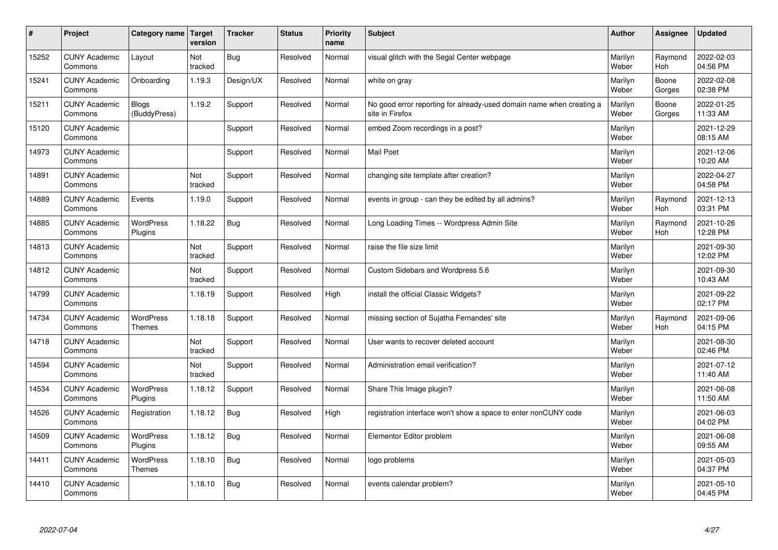| $\vert$ # | Project                         | Category name   Target            | version        | <b>Tracker</b> | <b>Status</b> | <b>Priority</b><br>name | <b>Subject</b>                                                                          | <b>Author</b>    | Assignee              | <b>Updated</b>         |
|-----------|---------------------------------|-----------------------------------|----------------|----------------|---------------|-------------------------|-----------------------------------------------------------------------------------------|------------------|-----------------------|------------------------|
| 15252     | <b>CUNY Academic</b><br>Commons | Layout                            | Not<br>tracked | Bug            | Resolved      | Normal                  | visual glitch with the Segal Center webpage                                             | Marilyn<br>Weber | Raymond<br><b>Hoh</b> | 2022-02-03<br>04:56 PM |
| 15241     | <b>CUNY Academic</b><br>Commons | Onboarding                        | 1.19.3         | Design/UX      | Resolved      | Normal                  | white on gray                                                                           | Marilyn<br>Weber | Boone<br>Gorges       | 2022-02-08<br>02:38 PM |
| 15211     | <b>CUNY Academic</b><br>Commons | Blogs<br>(BuddyPress)             | 1.19.2         | Support        | Resolved      | Normal                  | No good error reporting for already-used domain name when creating a<br>site in Firefox | Marilyn<br>Weber | Boone<br>Gorges       | 2022-01-25<br>11:33 AM |
| 15120     | <b>CUNY Academic</b><br>Commons |                                   |                | Support        | Resolved      | Normal                  | embed Zoom recordings in a post?                                                        | Marilyn<br>Weber |                       | 2021-12-29<br>08:15 AM |
| 14973     | <b>CUNY Academic</b><br>Commons |                                   |                | Support        | Resolved      | Normal                  | <b>Mail Poet</b>                                                                        | Marilyn<br>Weber |                       | 2021-12-06<br>10:20 AM |
| 14891     | <b>CUNY Academic</b><br>Commons |                                   | Not<br>tracked | Support        | Resolved      | Normal                  | changing site template after creation?                                                  | Marilyn<br>Weber |                       | 2022-04-27<br>04:58 PM |
| 14889     | <b>CUNY Academic</b><br>Commons | Events                            | 1.19.0         | Support        | Resolved      | Normal                  | events in group - can they be edited by all admins?                                     | Marilyn<br>Weber | Raymond<br>Hoh        | 2021-12-13<br>03:31 PM |
| 14885     | <b>CUNY Academic</b><br>Commons | WordPress<br>Plugins              | 1.18.22        | Bug            | Resolved      | Normal                  | Long Loading Times -- Wordpress Admin Site                                              | Marilyn<br>Weber | Raymond<br>Hoh        | 2021-10-26<br>12:28 PM |
| 14813     | <b>CUNY Academic</b><br>Commons |                                   | Not<br>tracked | Support        | Resolved      | Normal                  | raise the file size limit                                                               | Marilyn<br>Weber |                       | 2021-09-30<br>12:02 PM |
| 14812     | <b>CUNY Academic</b><br>Commons |                                   | Not<br>tracked | Support        | Resolved      | Normal                  | Custom Sidebars and Wordpress 5.6                                                       | Marilyn<br>Weber |                       | 2021-09-30<br>10:43 AM |
| 14799     | <b>CUNY Academic</b><br>Commons |                                   | 1.18.19        | Support        | Resolved      | High                    | install the official Classic Widgets?                                                   | Marilyn<br>Weber |                       | 2021-09-22<br>02:17 PM |
| 14734     | <b>CUNY Academic</b><br>Commons | <b>WordPress</b><br><b>Themes</b> | 1.18.18        | Support        | Resolved      | Normal                  | missing section of Sujatha Fernandes' site                                              | Marilyn<br>Weber | Raymond<br>Hoh        | 2021-09-06<br>04:15 PM |
| 14718     | <b>CUNY Academic</b><br>Commons |                                   | Not<br>tracked | Support        | Resolved      | Normal                  | User wants to recover deleted account                                                   | Marilyn<br>Weber |                       | 2021-08-30<br>02:46 PM |
| 14594     | <b>CUNY Academic</b><br>Commons |                                   | Not<br>tracked | Support        | Resolved      | Normal                  | Administration email verification?                                                      | Marilyn<br>Weber |                       | 2021-07-12<br>11:40 AM |
| 14534     | <b>CUNY Academic</b><br>Commons | <b>WordPress</b><br>Plugins       | 1.18.12        | Support        | Resolved      | Normal                  | Share This Image plugin?                                                                | Marilyn<br>Weber |                       | 2021-06-08<br>11:50 AM |
| 14526     | <b>CUNY Academic</b><br>Commons | Registration                      | 1.18.12        | <b>Bug</b>     | Resolved      | High                    | registration interface won't show a space to enter nonCUNY code                         | Marilyn<br>Weber |                       | 2021-06-03<br>04:02 PM |
| 14509     | <b>CUNY Academic</b><br>Commons | WordPress<br>Plugins              | 1.18.12        | Bug            | Resolved      | Normal                  | Elementor Editor problem                                                                | Marilyn<br>Weber |                       | 2021-06-08<br>09:55 AM |
| 14411     | <b>CUNY Academic</b><br>Commons | WordPress<br><b>Themes</b>        | 1.18.10        | Bug            | Resolved      | Normal                  | logo problems                                                                           | Marilyn<br>Weber |                       | 2021-05-03<br>04:37 PM |
| 14410     | <b>CUNY Academic</b><br>Commons |                                   | 1.18.10        | Bug            | Resolved      | Normal                  | events calendar problem?                                                                | Marilyn<br>Weber |                       | 2021-05-10<br>04:45 PM |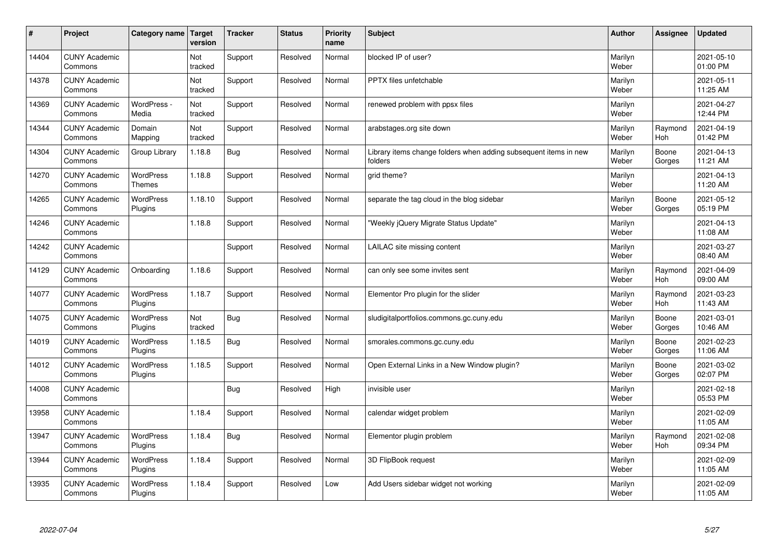| $\sharp$ | Project                         | Category name   Target            | version        | <b>Tracker</b> | <b>Status</b> | <b>Priority</b><br>name | <b>Subject</b>                                                              | <b>Author</b>    | <b>Assignee</b>       | <b>Updated</b>         |
|----------|---------------------------------|-----------------------------------|----------------|----------------|---------------|-------------------------|-----------------------------------------------------------------------------|------------------|-----------------------|------------------------|
| 14404    | <b>CUNY Academic</b><br>Commons |                                   | Not<br>tracked | Support        | Resolved      | Normal                  | blocked IP of user?                                                         | Marilyn<br>Weber |                       | 2021-05-10<br>01:00 PM |
| 14378    | <b>CUNY Academic</b><br>Commons |                                   | Not<br>tracked | Support        | Resolved      | Normal                  | <b>PPTX</b> files unfetchable                                               | Marilyn<br>Weber |                       | 2021-05-11<br>11:25 AM |
| 14369    | <b>CUNY Academic</b><br>Commons | WordPress -<br>Media              | Not<br>tracked | Support        | Resolved      | Normal                  | renewed problem with ppsx files                                             | Marilyn<br>Weber |                       | 2021-04-27<br>12:44 PM |
| 14344    | <b>CUNY Academic</b><br>Commons | Domain<br>Mapping                 | Not<br>tracked | Support        | Resolved      | Normal                  | arabstages.org site down                                                    | Marilyn<br>Weber | Raymond<br>Hoh        | 2021-04-19<br>01:42 PM |
| 14304    | <b>CUNY Academic</b><br>Commons | Group Library                     | 1.18.8         | Bug            | Resolved      | Normal                  | Library items change folders when adding subsequent items in new<br>folders | Marilyn<br>Weber | Boone<br>Gorges       | 2021-04-13<br>11:21 AM |
| 14270    | <b>CUNY Academic</b><br>Commons | <b>WordPress</b><br><b>Themes</b> | 1.18.8         | Support        | Resolved      | Normal                  | grid theme?                                                                 | Marilyn<br>Weber |                       | 2021-04-13<br>11:20 AM |
| 14265    | <b>CUNY Academic</b><br>Commons | <b>WordPress</b><br>Plugins       | 1.18.10        | Support        | Resolved      | Normal                  | separate the tag cloud in the blog sidebar                                  | Marilyn<br>Weber | Boone<br>Gorges       | 2021-05-12<br>05:19 PM |
| 14246    | <b>CUNY Academic</b><br>Commons |                                   | 1.18.8         | Support        | Resolved      | Normal                  | 'Weekly jQuery Migrate Status Update"                                       | Marilyn<br>Weber |                       | 2021-04-13<br>11:08 AM |
| 14242    | <b>CUNY Academic</b><br>Commons |                                   |                | Support        | Resolved      | Normal                  | LAILAC site missing content                                                 | Marilyn<br>Weber |                       | 2021-03-27<br>08:40 AM |
| 14129    | <b>CUNY Academic</b><br>Commons | Onboarding                        | 1.18.6         | Support        | Resolved      | Normal                  | can only see some invites sent                                              | Marilyn<br>Weber | Raymond<br><b>Hoh</b> | 2021-04-09<br>09:00 AM |
| 14077    | <b>CUNY Academic</b><br>Commons | <b>WordPress</b><br>Plugins       | 1.18.7         | Support        | Resolved      | Normal                  | Elementor Pro plugin for the slider                                         | Marilyn<br>Weber | Raymond<br>Hoh        | 2021-03-23<br>11:43 AM |
| 14075    | <b>CUNY Academic</b><br>Commons | <b>WordPress</b><br>Plugins       | Not<br>tracked | <b>Bug</b>     | Resolved      | Normal                  | sludigitalportfolios.commons.gc.cuny.edu                                    | Marilyn<br>Weber | Boone<br>Gorges       | 2021-03-01<br>10:46 AM |
| 14019    | <b>CUNY Academic</b><br>Commons | <b>WordPress</b><br>Plugins       | 1.18.5         | Bug            | Resolved      | Normal                  | smorales.commons.gc.cuny.edu                                                | Marilyn<br>Weber | Boone<br>Gorges       | 2021-02-23<br>11:06 AM |
| 14012    | <b>CUNY Academic</b><br>Commons | <b>WordPress</b><br>Plugins       | 1.18.5         | Support        | Resolved      | Normal                  | Open External Links in a New Window plugin?                                 | Marilyn<br>Weber | Boone<br>Gorges       | 2021-03-02<br>02:07 PM |
| 14008    | <b>CUNY Academic</b><br>Commons |                                   |                | <b>Bug</b>     | Resolved      | High                    | invisible user                                                              | Marilyn<br>Weber |                       | 2021-02-18<br>05:53 PM |
| 13958    | <b>CUNY Academic</b><br>Commons |                                   | 1.18.4         | Support        | Resolved      | Normal                  | calendar widget problem                                                     | Marilyn<br>Weber |                       | 2021-02-09<br>11:05 AM |
| 13947    | <b>CUNY Academic</b><br>Commons | WordPress<br>Plugins              | 1.18.4         | Bug            | Resolved      | Normal                  | Elementor plugin problem                                                    | Marilyn<br>Weber | Raymond<br>Hoh        | 2021-02-08<br>09:34 PM |
| 13944    | <b>CUNY Academic</b><br>Commons | <b>WordPress</b><br>Plugins       | 1.18.4         | Support        | Resolved      | Normal                  | 3D FlipBook request                                                         | Marilyn<br>Weber |                       | 2021-02-09<br>11:05 AM |
| 13935    | <b>CUNY Academic</b><br>Commons | WordPress<br>Plugins              | 1.18.4         | Support        | Resolved      | Low                     | Add Users sidebar widget not working                                        | Marilyn<br>Weber |                       | 2021-02-09<br>11:05 AM |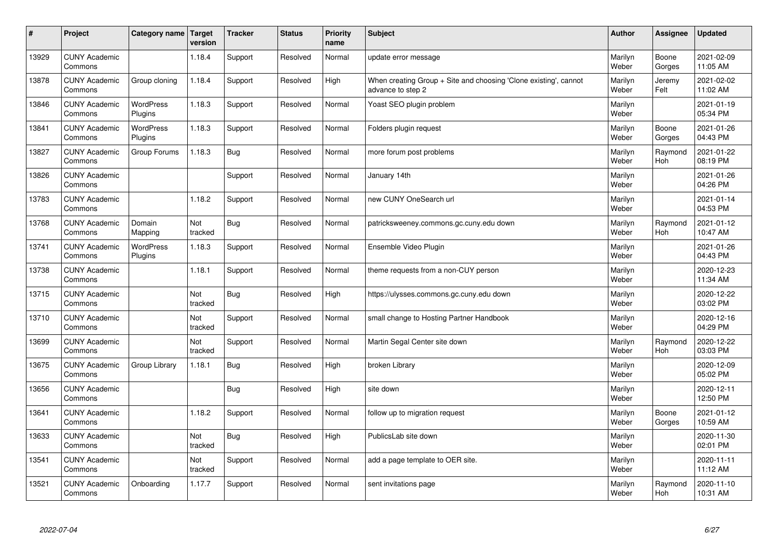| $\sharp$ | Project                         | Category name   Target      | version        | <b>Tracker</b> | <b>Status</b> | <b>Priority</b><br>name | <b>Subject</b>                                                                        | <b>Author</b>    | Assignee              | <b>Updated</b>         |
|----------|---------------------------------|-----------------------------|----------------|----------------|---------------|-------------------------|---------------------------------------------------------------------------------------|------------------|-----------------------|------------------------|
| 13929    | <b>CUNY Academic</b><br>Commons |                             | 1.18.4         | Support        | Resolved      | Normal                  | update error message                                                                  | Marilyn<br>Weber | Boone<br>Gorges       | 2021-02-09<br>11:05 AM |
| 13878    | <b>CUNY Academic</b><br>Commons | Group cloning               | 1.18.4         | Support        | Resolved      | High                    | When creating Group + Site and choosing 'Clone existing', cannot<br>advance to step 2 | Marilyn<br>Weber | Jeremy<br>Felt        | 2021-02-02<br>11:02 AM |
| 13846    | <b>CUNY Academic</b><br>Commons | <b>WordPress</b><br>Plugins | 1.18.3         | Support        | Resolved      | Normal                  | Yoast SEO plugin problem                                                              | Marilyn<br>Weber |                       | 2021-01-19<br>05:34 PM |
| 13841    | <b>CUNY Academic</b><br>Commons | <b>WordPress</b><br>Plugins | 1.18.3         | Support        | Resolved      | Normal                  | Folders plugin request                                                                | Marilyn<br>Weber | Boone<br>Gorges       | 2021-01-26<br>04:43 PM |
| 13827    | <b>CUNY Academic</b><br>Commons | Group Forums                | 1.18.3         | <b>Bug</b>     | Resolved      | Normal                  | more forum post problems                                                              | Marilyn<br>Weber | Raymond<br>Hoh        | 2021-01-22<br>08:19 PM |
| 13826    | <b>CUNY Academic</b><br>Commons |                             |                | Support        | Resolved      | Normal                  | January 14th                                                                          | Marilyn<br>Weber |                       | 2021-01-26<br>04:26 PM |
| 13783    | <b>CUNY Academic</b><br>Commons |                             | 1.18.2         | Support        | Resolved      | Normal                  | new CUNY OneSearch url                                                                | Marilyn<br>Weber |                       | 2021-01-14<br>04:53 PM |
| 13768    | <b>CUNY Academic</b><br>Commons | Domain<br>Mapping           | Not<br>tracked | Bug            | Resolved      | Normal                  | patricksweeney.commons.gc.cuny.edu down                                               | Marilyn<br>Weber | Raymond<br><b>Hoh</b> | 2021-01-12<br>10:47 AM |
| 13741    | <b>CUNY Academic</b><br>Commons | WordPress<br>Plugins        | 1.18.3         | Support        | Resolved      | Normal                  | Ensemble Video Plugin                                                                 | Marilyn<br>Weber |                       | 2021-01-26<br>04:43 PM |
| 13738    | <b>CUNY Academic</b><br>Commons |                             | 1.18.1         | Support        | Resolved      | Normal                  | theme requests from a non-CUY person                                                  | Marilyn<br>Weber |                       | 2020-12-23<br>11:34 AM |
| 13715    | <b>CUNY Academic</b><br>Commons |                             | Not<br>tracked | <b>Bug</b>     | Resolved      | High                    | https://ulysses.commons.gc.cuny.edu down                                              | Marilyn<br>Weber |                       | 2020-12-22<br>03:02 PM |
| 13710    | <b>CUNY Academic</b><br>Commons |                             | Not<br>tracked | Support        | Resolved      | Normal                  | small change to Hosting Partner Handbook                                              | Marilyn<br>Weber |                       | 2020-12-16<br>04:29 PM |
| 13699    | <b>CUNY Academic</b><br>Commons |                             | Not<br>tracked | Support        | Resolved      | Normal                  | Martin Segal Center site down                                                         | Marilyn<br>Weber | Raymond<br>Hoh        | 2020-12-22<br>03:03 PM |
| 13675    | <b>CUNY Academic</b><br>Commons | Group Library               | 1.18.1         | Bug            | Resolved      | High                    | broken Library                                                                        | Marilyn<br>Weber |                       | 2020-12-09<br>05:02 PM |
| 13656    | <b>CUNY Academic</b><br>Commons |                             |                | Bug            | Resolved      | High                    | site down                                                                             | Marilyn<br>Weber |                       | 2020-12-11<br>12:50 PM |
| 13641    | <b>CUNY Academic</b><br>Commons |                             | 1.18.2         | Support        | Resolved      | Normal                  | follow up to migration request                                                        | Marilyn<br>Weber | Boone<br>Gorges       | 2021-01-12<br>10:59 AM |
| 13633    | <b>CUNY Academic</b><br>Commons |                             | Not<br>tracked | Bug            | Resolved      | High                    | PublicsLab site down                                                                  | Marilyn<br>Weber |                       | 2020-11-30<br>02:01 PM |
| 13541    | <b>CUNY Academic</b><br>Commons |                             | Not<br>tracked | Support        | Resolved      | Normal                  | add a page template to OER site.                                                      | Marilyn<br>Weber |                       | 2020-11-11<br>11:12 AM |
| 13521    | <b>CUNY Academic</b><br>Commons | Onboarding                  | 1.17.7         | Support        | Resolved      | Normal                  | sent invitations page                                                                 | Marilyn<br>Weber | Raymond<br>Hoh        | 2020-11-10<br>10:31 AM |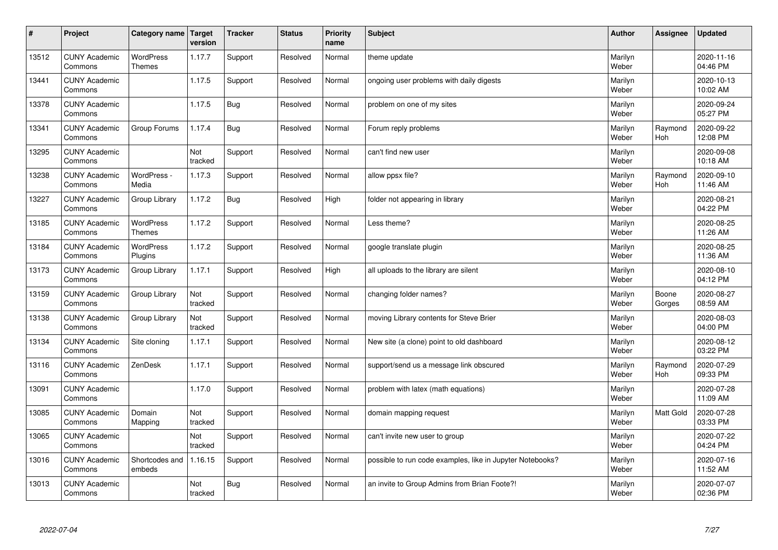| $\sharp$ | Project                         | Category name   Target            | version        | <b>Tracker</b> | <b>Status</b> | <b>Priority</b><br>name | <b>Subject</b>                                            | <b>Author</b>    | Assignee              | <b>Updated</b>         |
|----------|---------------------------------|-----------------------------------|----------------|----------------|---------------|-------------------------|-----------------------------------------------------------|------------------|-----------------------|------------------------|
| 13512    | <b>CUNY Academic</b><br>Commons | <b>WordPress</b><br><b>Themes</b> | 1.17.7         | Support        | Resolved      | Normal                  | theme update                                              | Marilyn<br>Weber |                       | 2020-11-16<br>04:46 PM |
| 13441    | <b>CUNY Academic</b><br>Commons |                                   | 1.17.5         | Support        | Resolved      | Normal                  | ongoing user problems with daily digests                  | Marilyn<br>Weber |                       | 2020-10-13<br>10:02 AM |
| 13378    | <b>CUNY Academic</b><br>Commons |                                   | 1.17.5         | Bug            | Resolved      | Normal                  | problem on one of my sites                                | Marilyn<br>Weber |                       | 2020-09-24<br>05:27 PM |
| 13341    | <b>CUNY Academic</b><br>Commons | Group Forums                      | 1.17.4         | <b>Bug</b>     | Resolved      | Normal                  | Forum reply problems                                      | Marilyn<br>Weber | Raymond<br>Hoh        | 2020-09-22<br>12:08 PM |
| 13295    | <b>CUNY Academic</b><br>Commons |                                   | Not<br>tracked | Support        | Resolved      | Normal                  | can't find new user                                       | Marilyn<br>Weber |                       | 2020-09-08<br>10:18 AM |
| 13238    | <b>CUNY Academic</b><br>Commons | WordPress -<br>Media              | 1.17.3         | Support        | Resolved      | Normal                  | allow ppsx file?                                          | Marilyn<br>Weber | Raymond<br>Hoh        | 2020-09-10<br>11:46 AM |
| 13227    | <b>CUNY Academic</b><br>Commons | Group Library                     | 1.17.2         | Bug            | Resolved      | High                    | folder not appearing in library                           | Marilyn<br>Weber |                       | 2020-08-21<br>04:22 PM |
| 13185    | <b>CUNY Academic</b><br>Commons | WordPress<br><b>Themes</b>        | 1.17.2         | Support        | Resolved      | Normal                  | Less theme?                                               | Marilyn<br>Weber |                       | 2020-08-25<br>11:26 AM |
| 13184    | <b>CUNY Academic</b><br>Commons | WordPress<br>Plugins              | 1.17.2         | Support        | Resolved      | Normal                  | google translate plugin                                   | Marilyn<br>Weber |                       | 2020-08-25<br>11:36 AM |
| 13173    | <b>CUNY Academic</b><br>Commons | Group Library                     | 1.17.1         | Support        | Resolved      | High                    | all uploads to the library are silent                     | Marilyn<br>Weber |                       | 2020-08-10<br>04:12 PM |
| 13159    | <b>CUNY Academic</b><br>Commons | Group Library                     | Not<br>tracked | Support        | Resolved      | Normal                  | changing folder names?                                    | Marilyn<br>Weber | Boone<br>Gorges       | 2020-08-27<br>08:59 AM |
| 13138    | <b>CUNY Academic</b><br>Commons | Group Library                     | Not<br>tracked | Support        | Resolved      | Normal                  | moving Library contents for Steve Brier                   | Marilyn<br>Weber |                       | 2020-08-03<br>04:00 PM |
| 13134    | <b>CUNY Academic</b><br>Commons | Site cloning                      | 1.17.1         | Support        | Resolved      | Normal                  | New site (a clone) point to old dashboard                 | Marilyn<br>Weber |                       | 2020-08-12<br>03:22 PM |
| 13116    | <b>CUNY Academic</b><br>Commons | ZenDesk                           | 1.17.1         | Support        | Resolved      | Normal                  | support/send us a message link obscured                   | Marilyn<br>Weber | Raymond<br><b>Hoh</b> | 2020-07-29<br>09:33 PM |
| 13091    | <b>CUNY Academic</b><br>Commons |                                   | 1.17.0         | Support        | Resolved      | Normal                  | problem with latex (math equations)                       | Marilyn<br>Weber |                       | 2020-07-28<br>11:09 AM |
| 13085    | <b>CUNY Academic</b><br>Commons | Domain<br>Mapping                 | Not<br>tracked | Support        | Resolved      | Normal                  | domain mapping request                                    | Marilyn<br>Weber | <b>Matt Gold</b>      | 2020-07-28<br>03:33 PM |
| 13065    | <b>CUNY Academic</b><br>Commons |                                   | Not<br>tracked | Support        | Resolved      | Normal                  | can't invite new user to group                            | Marilyn<br>Weber |                       | 2020-07-22<br>04:24 PM |
| 13016    | <b>CUNY Academic</b><br>Commons | Shortcodes and<br>embeds          | 1.16.15        | Support        | Resolved      | Normal                  | possible to run code examples, like in Jupyter Notebooks? | Marilyn<br>Weber |                       | 2020-07-16<br>11:52 AM |
| 13013    | <b>CUNY Academic</b><br>Commons |                                   | Not<br>tracked | Bug            | Resolved      | Normal                  | an invite to Group Admins from Brian Foote?!              | Marilyn<br>Weber |                       | 2020-07-07<br>02:36 PM |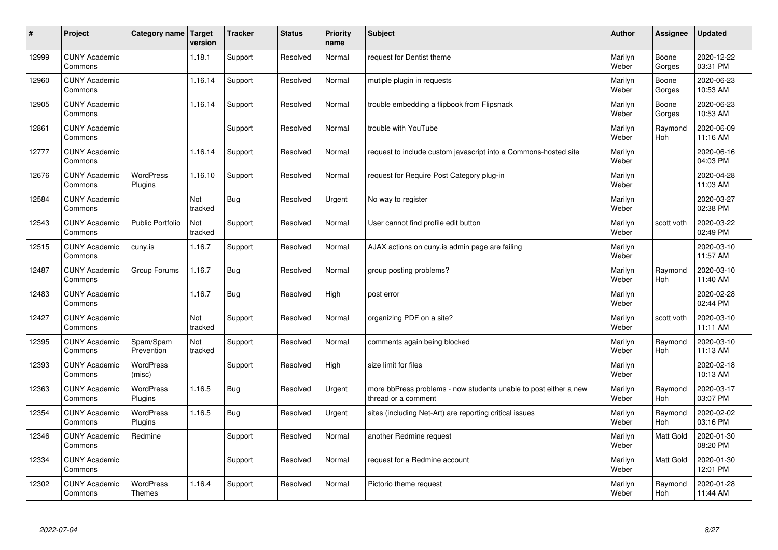| #     | Project                         | Category name   Target      | version        | <b>Tracker</b> | <b>Status</b> | <b>Priority</b><br>name | <b>Subject</b>                                                                          | <b>Author</b>    | Assignee              | <b>Updated</b>         |
|-------|---------------------------------|-----------------------------|----------------|----------------|---------------|-------------------------|-----------------------------------------------------------------------------------------|------------------|-----------------------|------------------------|
| 12999 | <b>CUNY Academic</b><br>Commons |                             | 1.18.1         | Support        | Resolved      | Normal                  | request for Dentist theme                                                               | Marilyn<br>Weber | Boone<br>Gorges       | 2020-12-22<br>03:31 PM |
| 12960 | <b>CUNY Academic</b><br>Commons |                             | 1.16.14        | Support        | Resolved      | Normal                  | mutiple plugin in requests                                                              | Marilyn<br>Weber | Boone<br>Gorges       | 2020-06-23<br>10:53 AM |
| 12905 | <b>CUNY Academic</b><br>Commons |                             | 1.16.14        | Support        | Resolved      | Normal                  | trouble embedding a flipbook from Flipsnack                                             | Marilyn<br>Weber | Boone<br>Gorges       | 2020-06-23<br>10:53 AM |
| 12861 | <b>CUNY Academic</b><br>Commons |                             |                | Support        | Resolved      | Normal                  | trouble with YouTube                                                                    | Marilyn<br>Weber | Raymond<br>Hoh        | 2020-06-09<br>11:16 AM |
| 12777 | <b>CUNY Academic</b><br>Commons |                             | 1.16.14        | Support        | Resolved      | Normal                  | request to include custom javascript into a Commons-hosted site                         | Marilyn<br>Weber |                       | 2020-06-16<br>04:03 PM |
| 12676 | <b>CUNY Academic</b><br>Commons | <b>WordPress</b><br>Plugins | 1.16.10        | Support        | Resolved      | Normal                  | request for Require Post Category plug-in                                               | Marilyn<br>Weber |                       | 2020-04-28<br>11:03 AM |
| 12584 | <b>CUNY Academic</b><br>Commons |                             | Not<br>tracked | Bug            | Resolved      | Urgent                  | No way to register                                                                      | Marilyn<br>Weber |                       | 2020-03-27<br>02:38 PM |
| 12543 | <b>CUNY Academic</b><br>Commons | <b>Public Portfolio</b>     | Not<br>tracked | Support        | Resolved      | Normal                  | User cannot find profile edit button                                                    | Marilyn<br>Weber | scott voth            | 2020-03-22<br>02:49 PM |
| 12515 | <b>CUNY Academic</b><br>Commons | cuny.is                     | 1.16.7         | Support        | Resolved      | Normal                  | AJAX actions on cuny is admin page are failing                                          | Marilyn<br>Weber |                       | 2020-03-10<br>11:57 AM |
| 12487 | <b>CUNY Academic</b><br>Commons | Group Forums                | 1.16.7         | Bug            | Resolved      | Normal                  | group posting problems?                                                                 | Marilyn<br>Weber | Raymond<br><b>Hoh</b> | 2020-03-10<br>11:40 AM |
| 12483 | <b>CUNY Academic</b><br>Commons |                             | 1.16.7         | Bug            | Resolved      | High                    | post error                                                                              | Marilyn<br>Weber |                       | 2020-02-28<br>02:44 PM |
| 12427 | <b>CUNY Academic</b><br>Commons |                             | Not<br>tracked | Support        | Resolved      | Normal                  | organizing PDF on a site?                                                               | Marilyn<br>Weber | scott voth            | 2020-03-10<br>11:11 AM |
| 12395 | <b>CUNY Academic</b><br>Commons | Spam/Spam<br>Prevention     | Not<br>tracked | Support        | Resolved      | Normal                  | comments again being blocked                                                            | Marilyn<br>Weber | Raymond<br>Hoh        | 2020-03-10<br>11:13 AM |
| 12393 | <b>CUNY Academic</b><br>Commons | WordPress<br>(misc)         |                | Support        | Resolved      | High                    | size limit for files                                                                    | Marilyn<br>Weber |                       | 2020-02-18<br>10:13 AM |
| 12363 | <b>CUNY Academic</b><br>Commons | WordPress<br>Plugins        | 1.16.5         | <b>Bug</b>     | Resolved      | Urgent                  | more bbPress problems - now students unable to post either a new<br>thread or a comment | Marilyn<br>Weber | Raymond<br><b>Hoh</b> | 2020-03-17<br>03:07 PM |
| 12354 | <b>CUNY Academic</b><br>Commons | <b>WordPress</b><br>Plugins | 1.16.5         | Bug            | Resolved      | Urgent                  | sites (including Net-Art) are reporting critical issues                                 | Marilyn<br>Weber | Raymond<br><b>Hoh</b> | 2020-02-02<br>03:16 PM |
| 12346 | <b>CUNY Academic</b><br>Commons | Redmine                     |                | Support        | Resolved      | Normal                  | another Redmine request                                                                 | Marilyn<br>Weber | <b>Matt Gold</b>      | 2020-01-30<br>08:20 PM |
| 12334 | <b>CUNY Academic</b><br>Commons |                             |                | Support        | Resolved      | Normal                  | request for a Redmine account                                                           | Marilyn<br>Weber | Matt Gold             | 2020-01-30<br>12:01 PM |
| 12302 | <b>CUNY Academic</b><br>Commons | WordPress<br><b>Themes</b>  | 1.16.4         | Support        | Resolved      | Normal                  | Pictorio theme request                                                                  | Marilyn<br>Weber | Raymond<br>Hoh        | 2020-01-28<br>11:44 AM |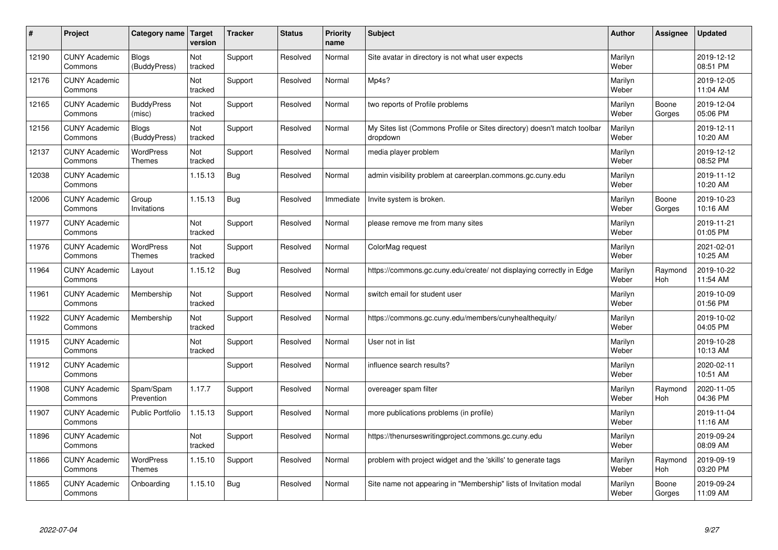| #     | Project                         | Category name   Target            | version        | <b>Tracker</b> | <b>Status</b> | <b>Priority</b><br>name | <b>Subject</b>                                                                       | <b>Author</b>    | Assignee        | <b>Updated</b>         |
|-------|---------------------------------|-----------------------------------|----------------|----------------|---------------|-------------------------|--------------------------------------------------------------------------------------|------------------|-----------------|------------------------|
| 12190 | <b>CUNY Academic</b><br>Commons | <b>Blogs</b><br>(BuddyPress)      | Not<br>tracked | Support        | Resolved      | Normal                  | Site avatar in directory is not what user expects                                    | Marilyn<br>Weber |                 | 2019-12-12<br>08:51 PM |
| 12176 | <b>CUNY Academic</b><br>Commons |                                   | Not<br>tracked | Support        | Resolved      | Normal                  | Mp4s?                                                                                | Marilyn<br>Weber |                 | 2019-12-05<br>11:04 AM |
| 12165 | <b>CUNY Academic</b><br>Commons | <b>BuddyPress</b><br>(misc)       | Not<br>tracked | Support        | Resolved      | Normal                  | two reports of Profile problems                                                      | Marilyn<br>Weber | Boone<br>Gorges | 2019-12-04<br>05:06 PM |
| 12156 | <b>CUNY Academic</b><br>Commons | Blogs<br>(BuddyPress)             | Not<br>tracked | Support        | Resolved      | Normal                  | My Sites list (Commons Profile or Sites directory) doesn't match toolbar<br>dropdown | Marilyn<br>Weber |                 | 2019-12-11<br>10:20 AM |
| 12137 | <b>CUNY Academic</b><br>Commons | <b>WordPress</b><br><b>Themes</b> | Not<br>tracked | Support        | Resolved      | Normal                  | media player problem                                                                 | Marilyn<br>Weber |                 | 2019-12-12<br>08:52 PM |
| 12038 | <b>CUNY Academic</b><br>Commons |                                   | 1.15.13        | Bug            | Resolved      | Normal                  | admin visibility problem at careerplan.commons.gc.cuny.edu                           | Marilyn<br>Weber |                 | 2019-11-12<br>10:20 AM |
| 12006 | <b>CUNY Academic</b><br>Commons | Group<br>Invitations              | 1.15.13        | Bug            | Resolved      | Immediate               | Invite system is broken.                                                             | Marilyn<br>Weber | Boone<br>Gorges | 2019-10-23<br>10:16 AM |
| 11977 | <b>CUNY Academic</b><br>Commons |                                   | Not<br>tracked | Support        | Resolved      | Normal                  | please remove me from many sites                                                     | Marilyn<br>Weber |                 | 2019-11-21<br>01:05 PM |
| 11976 | <b>CUNY Academic</b><br>Commons | <b>WordPress</b><br><b>Themes</b> | Not<br>tracked | Support        | Resolved      | Normal                  | ColorMag request                                                                     | Marilyn<br>Weber |                 | 2021-02-01<br>10:25 AM |
| 11964 | <b>CUNY Academic</b><br>Commons | Layout                            | 1.15.12        | Bug            | Resolved      | Normal                  | https://commons.gc.cuny.edu/create/ not displaying correctly in Edge                 | Marilyn<br>Weber | Raymond<br>Hoh  | 2019-10-22<br>11:54 AM |
| 11961 | <b>CUNY Academic</b><br>Commons | Membership                        | Not<br>tracked | Support        | Resolved      | Normal                  | switch email for student user                                                        | Marilyn<br>Weber |                 | 2019-10-09<br>01:56 PM |
| 11922 | <b>CUNY Academic</b><br>Commons | Membership                        | Not<br>tracked | Support        | Resolved      | Normal                  | https://commons.gc.cuny.edu/members/cunyhealthequity/                                | Marilyn<br>Weber |                 | 2019-10-02<br>04:05 PM |
| 11915 | <b>CUNY Academic</b><br>Commons |                                   | Not<br>tracked | Support        | Resolved      | Normal                  | User not in list                                                                     | Marilyn<br>Weber |                 | 2019-10-28<br>10:13 AM |
| 11912 | <b>CUNY Academic</b><br>Commons |                                   |                | Support        | Resolved      | Normal                  | influence search results?                                                            | Marilyn<br>Weber |                 | 2020-02-11<br>10:51 AM |
| 11908 | <b>CUNY Academic</b><br>Commons | Spam/Spam<br>Prevention           | 1.17.7         | Support        | Resolved      | Normal                  | overeager spam filter                                                                | Marilyn<br>Weber | Raymond<br>Hoh  | 2020-11-05<br>04:36 PM |
| 11907 | <b>CUNY Academic</b><br>Commons | <b>Public Portfolio</b>           | 1.15.13        | Support        | Resolved      | Normal                  | more publications problems (in profile)                                              | Marilyn<br>Weber |                 | 2019-11-04<br>11:16 AM |
| 11896 | <b>CUNY Academic</b><br>Commons |                                   | Not<br>tracked | Support        | Resolved      | Normal                  | https://thenurseswritingproject.commons.gc.cuny.edu                                  | Marilyn<br>Weber |                 | 2019-09-24<br>08:09 AM |
| 11866 | <b>CUNY Academic</b><br>Commons | <b>WordPress</b><br><b>Themes</b> | 1.15.10        | Support        | Resolved      | Normal                  | problem with project widget and the 'skills' to generate tags                        | Marilyn<br>Weber | Raymond<br>Hoh  | 2019-09-19<br>03:20 PM |
| 11865 | <b>CUNY Academic</b><br>Commons | Onboarding                        | 1.15.10        | Bug            | Resolved      | Normal                  | Site name not appearing in "Membership" lists of Invitation modal                    | Marilyn<br>Weber | Boone<br>Gorges | 2019-09-24<br>11:09 AM |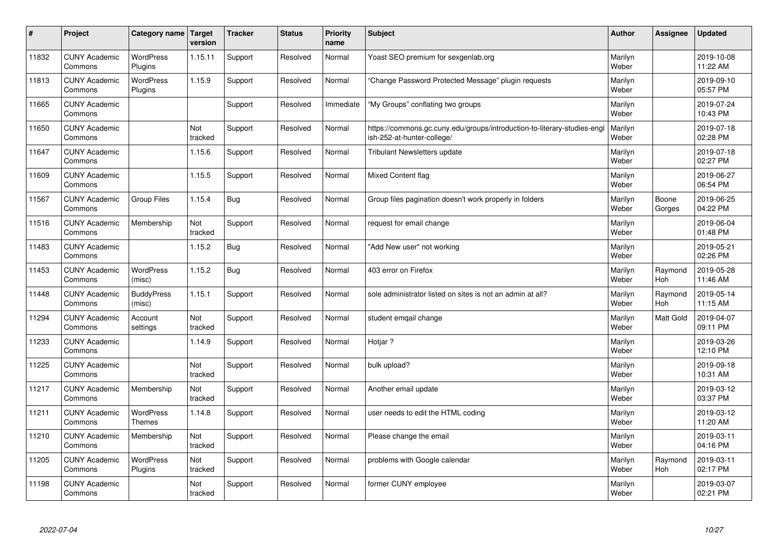| $\pmb{\#}$ | Project                         | <b>Category name</b>              | Target<br>version | <b>Tracker</b> | <b>Status</b> | <b>Priority</b><br>name | <b>Subject</b>                                                                                         | <b>Author</b>    | Assignee        | <b>Updated</b>         |
|------------|---------------------------------|-----------------------------------|-------------------|----------------|---------------|-------------------------|--------------------------------------------------------------------------------------------------------|------------------|-----------------|------------------------|
| 11832      | <b>CUNY Academic</b><br>Commons | <b>WordPress</b><br>Plugins       | 1.15.11           | Support        | Resolved      | Normal                  | Yoast SEO premium for sexgenlab.org                                                                    | Marilyn<br>Weber |                 | 2019-10-08<br>11:22 AM |
| 11813      | <b>CUNY Academic</b><br>Commons | <b>WordPress</b><br>Plugins       | 1.15.9            | Support        | Resolved      | Normal                  | 'Change Password Protected Message" plugin reguests                                                    | Marilyn<br>Weber |                 | 2019-09-10<br>05:57 PM |
| 11665      | <b>CUNY Academic</b><br>Commons |                                   |                   | Support        | Resolved      | Immediate               | "My Groups" conflating two groups                                                                      | Marilyn<br>Weber |                 | 2019-07-24<br>10:43 PM |
| 11650      | <b>CUNY Academic</b><br>Commons |                                   | Not<br>tracked    | Support        | Resolved      | Normal                  | https://commons.gc.cuny.edu/groups/introduction-to-literary-studies-engl<br>ish-252-at-hunter-college/ | Marilyn<br>Weber |                 | 2019-07-18<br>02:28 PM |
| 11647      | <b>CUNY Academic</b><br>Commons |                                   | 1.15.6            | Support        | Resolved      | Normal                  | <b>Tribulant Newsletters update</b>                                                                    | Marilyn<br>Weber |                 | 2019-07-18<br>02:27 PM |
| 11609      | <b>CUNY Academic</b><br>Commons |                                   | 1.15.5            | Support        | Resolved      | Normal                  | Mixed Content flag                                                                                     | Marilyn<br>Weber |                 | 2019-06-27<br>06:54 PM |
| 11567      | <b>CUNY Academic</b><br>Commons | <b>Group Files</b>                | 1.15.4            | <b>Bug</b>     | Resolved      | Normal                  | Group files pagination doesn't work properly in folders                                                | Marilyn<br>Weber | Boone<br>Gorges | 2019-06-25<br>04:22 PM |
| 11516      | <b>CUNY Academic</b><br>Commons | Membership                        | Not<br>tracked    | Support        | Resolved      | Normal                  | request for email change                                                                               | Marilyn<br>Weber |                 | 2019-06-04<br>01:48 PM |
| 11483      | <b>CUNY Academic</b><br>Commons |                                   | 1.15.2            | Bug            | Resolved      | Normal                  | "Add New user" not working                                                                             | Marilyn<br>Weber |                 | 2019-05-21<br>02:26 PM |
| 11453      | <b>CUNY Academic</b><br>Commons | <b>WordPress</b><br>(misc)        | 1.15.2            | <b>Bug</b>     | Resolved      | Normal                  | 403 error on Firefox                                                                                   | Marilyn<br>Weber | Raymond<br>Hoh  | 2019-05-28<br>11:46 AM |
| 11448      | <b>CUNY Academic</b><br>Commons | <b>BuddyPress</b><br>(misc)       | 1.15.1            | Support        | Resolved      | Normal                  | sole administrator listed on sites is not an admin at all?                                             | Marilyn<br>Weber | Raymond<br>Hoh  | 2019-05-14<br>11:15 AM |
| 11294      | <b>CUNY Academic</b><br>Commons | Account<br>settings               | Not<br>tracked    | Support        | Resolved      | Normal                  | student emgail change                                                                                  | Marilyn<br>Weber | Matt Gold       | 2019-04-07<br>09:11 PM |
| 11233      | <b>CUNY Academic</b><br>Commons |                                   | 1.14.9            | Support        | Resolved      | Normal                  | Hotjar ?                                                                                               | Marilyn<br>Weber |                 | 2019-03-26<br>12:10 PM |
| 11225      | <b>CUNY Academic</b><br>Commons |                                   | Not<br>tracked    | Support        | Resolved      | Normal                  | bulk upload?                                                                                           | Marilyn<br>Weber |                 | 2019-09-18<br>10:31 AM |
| 11217      | <b>CUNY Academic</b><br>Commons | Membership                        | Not<br>tracked    | Support        | Resolved      | Normal                  | Another email update                                                                                   | Marilyn<br>Weber |                 | 2019-03-12<br>03:37 PM |
| 11211      | <b>CUNY Academic</b><br>Commons | <b>WordPress</b><br><b>Themes</b> | 1.14.8            | Support        | Resolved      | Normal                  | user needs to edit the HTML coding                                                                     | Marilyn<br>Weber |                 | 2019-03-12<br>11:20 AM |
| 11210      | <b>CUNY Academic</b><br>Commons | Membership                        | Not<br>tracked    | Support        | Resolved      | Normal                  | Please change the email                                                                                | Marilyn<br>Weber |                 | 2019-03-11<br>04:16 PM |
| 11205      | <b>CUNY Academic</b><br>Commons | <b>WordPress</b><br>Plugins       | Not<br>tracked    | Support        | Resolved      | Normal                  | problems with Google calendar                                                                          | Marilyn<br>Weber | Raymond<br>Hoh  | 2019-03-11<br>02:17 PM |
| 11198      | <b>CUNY Academic</b><br>Commons |                                   | Not<br>tracked    | Support        | Resolved      | Normal                  | former CUNY employee                                                                                   | Marilyn<br>Weber |                 | 2019-03-07<br>02:21 PM |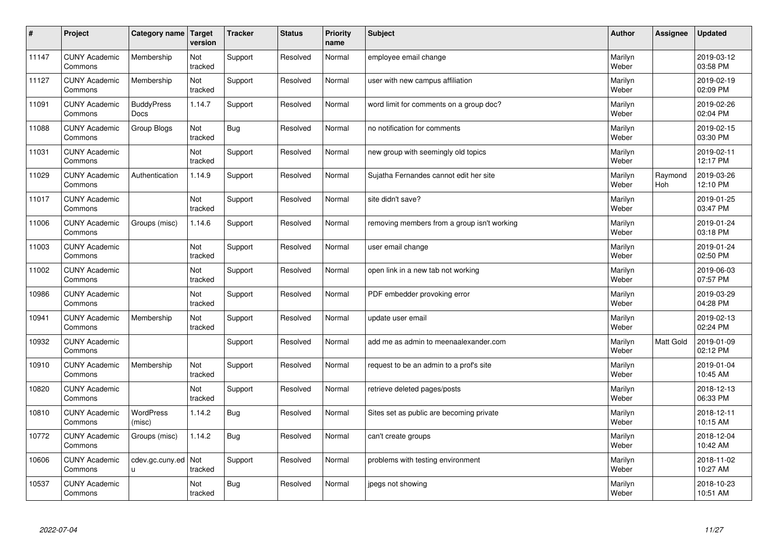| $\sharp$ | Project                         | Category name              | Target<br>version | <b>Tracker</b> | <b>Status</b> | <b>Priority</b><br>name | <b>Subject</b>                              | <b>Author</b>    | Assignee       | <b>Updated</b>         |
|----------|---------------------------------|----------------------------|-------------------|----------------|---------------|-------------------------|---------------------------------------------|------------------|----------------|------------------------|
| 11147    | <b>CUNY Academic</b><br>Commons | Membership                 | Not<br>tracked    | Support        | Resolved      | Normal                  | employee email change                       | Marilyn<br>Weber |                | 2019-03-12<br>03:58 PM |
| 11127    | <b>CUNY Academic</b><br>Commons | Membership                 | Not<br>tracked    | Support        | Resolved      | Normal                  | user with new campus affiliation            | Marilyn<br>Weber |                | 2019-02-19<br>02:09 PM |
| 11091    | <b>CUNY Academic</b><br>Commons | <b>BuddyPress</b><br>Docs  | 1.14.7            | Support        | Resolved      | Normal                  | word limit for comments on a group doc?     | Marilyn<br>Weber |                | 2019-02-26<br>02:04 PM |
| 11088    | <b>CUNY Academic</b><br>Commons | Group Blogs                | Not<br>tracked    | <b>Bug</b>     | Resolved      | Normal                  | no notification for comments                | Marilyn<br>Weber |                | 2019-02-15<br>03:30 PM |
| 11031    | <b>CUNY Academic</b><br>Commons |                            | Not<br>tracked    | Support        | Resolved      | Normal                  | new group with seemingly old topics         | Marilyn<br>Weber |                | 2019-02-11<br>12:17 PM |
| 11029    | <b>CUNY Academic</b><br>Commons | Authentication             | 1.14.9            | Support        | Resolved      | Normal                  | Sujatha Fernandes cannot edit her site      | Marilyn<br>Weber | Raymond<br>Hoh | 2019-03-26<br>12:10 PM |
| 11017    | <b>CUNY Academic</b><br>Commons |                            | Not<br>tracked    | Support        | Resolved      | Normal                  | site didn't save?                           | Marilyn<br>Weber |                | 2019-01-25<br>03:47 PM |
| 11006    | <b>CUNY Academic</b><br>Commons | Groups (misc)              | 1.14.6            | Support        | Resolved      | Normal                  | removing members from a group isn't working | Marilyn<br>Weber |                | 2019-01-24<br>03:18 PM |
| 11003    | <b>CUNY Academic</b><br>Commons |                            | Not<br>tracked    | Support        | Resolved      | Normal                  | user email change                           | Marilyn<br>Weber |                | 2019-01-24<br>02:50 PM |
| 11002    | <b>CUNY Academic</b><br>Commons |                            | Not<br>tracked    | Support        | Resolved      | Normal                  | open link in a new tab not working          | Marilyn<br>Weber |                | 2019-06-03<br>07:57 PM |
| 10986    | <b>CUNY Academic</b><br>Commons |                            | Not<br>tracked    | Support        | Resolved      | Normal                  | PDF embedder provoking error                | Marilyn<br>Weber |                | 2019-03-29<br>04:28 PM |
| 10941    | <b>CUNY Academic</b><br>Commons | Membership                 | Not<br>tracked    | Support        | Resolved      | Normal                  | update user email                           | Marilyn<br>Weber |                | 2019-02-13<br>02:24 PM |
| 10932    | <b>CUNY Academic</b><br>Commons |                            |                   | Support        | Resolved      | Normal                  | add me as admin to meenaalexander.com       | Marilyn<br>Weber | Matt Gold      | 2019-01-09<br>02:12 PM |
| 10910    | <b>CUNY Academic</b><br>Commons | Membership                 | Not<br>tracked    | Support        | Resolved      | Normal                  | request to be an admin to a prof's site     | Marilyn<br>Weber |                | 2019-01-04<br>10:45 AM |
| 10820    | <b>CUNY Academic</b><br>Commons |                            | Not<br>tracked    | Support        | Resolved      | Normal                  | retrieve deleted pages/posts                | Marilyn<br>Weber |                | 2018-12-13<br>06:33 PM |
| 10810    | <b>CUNY Academic</b><br>Commons | <b>WordPress</b><br>(misc) | 1.14.2            | <b>Bug</b>     | Resolved      | Normal                  | Sites set as public are becoming private    | Marilyn<br>Weber |                | 2018-12-11<br>10:15 AM |
| 10772    | <b>CUNY Academic</b><br>Commons | Groups (misc)              | 1.14.2            | <b>Bug</b>     | Resolved      | Normal                  | can't create groups                         | Marilyn<br>Weber |                | 2018-12-04<br>10:42 AM |
| 10606    | <b>CUNY Academic</b><br>Commons | cdev.gc.cuny.ed<br>u.      | Not<br>tracked    | Support        | Resolved      | Normal                  | problems with testing environment           | Marilyn<br>Weber |                | 2018-11-02<br>10:27 AM |
| 10537    | <b>CUNY Academic</b><br>Commons |                            | Not<br>tracked    | Bug            | Resolved      | Normal                  | jpegs not showing                           | Marilyn<br>Weber |                | 2018-10-23<br>10:51 AM |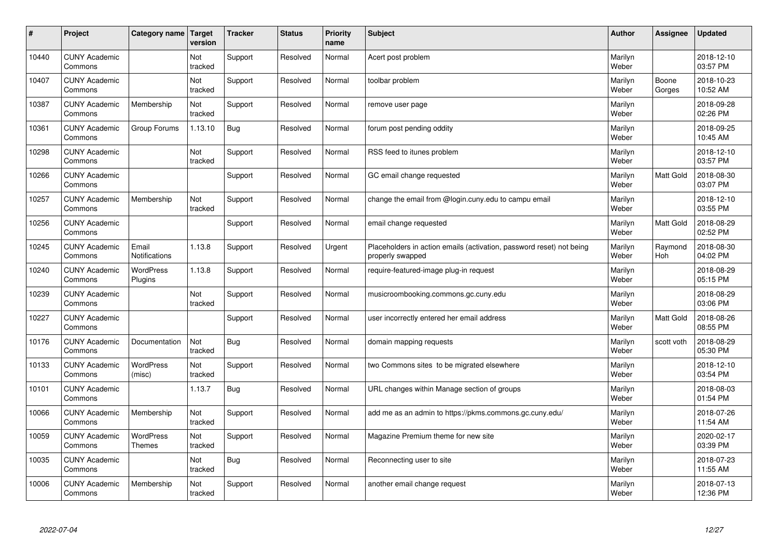| #     | Project                         | Category name                 | Target<br>version | <b>Tracker</b> | <b>Status</b> | <b>Priority</b><br>name | <b>Subject</b>                                                                           | <b>Author</b>    | Assignee              | <b>Updated</b>         |
|-------|---------------------------------|-------------------------------|-------------------|----------------|---------------|-------------------------|------------------------------------------------------------------------------------------|------------------|-----------------------|------------------------|
| 10440 | <b>CUNY Academic</b><br>Commons |                               | Not<br>tracked    | Support        | Resolved      | Normal                  | Acert post problem                                                                       | Marilyn<br>Weber |                       | 2018-12-10<br>03:57 PM |
| 10407 | <b>CUNY Academic</b><br>Commons |                               | Not<br>tracked    | Support        | Resolved      | Normal                  | toolbar problem                                                                          | Marilyn<br>Weber | Boone<br>Gorges       | 2018-10-23<br>10:52 AM |
| 10387 | <b>CUNY Academic</b><br>Commons | Membership                    | Not<br>tracked    | Support        | Resolved      | Normal                  | remove user page                                                                         | Marilyn<br>Weber |                       | 2018-09-28<br>02:26 PM |
| 10361 | <b>CUNY Academic</b><br>Commons | Group Forums                  | 1.13.10           | Bug            | Resolved      | Normal                  | forum post pending oddity                                                                | Marilyn<br>Weber |                       | 2018-09-25<br>10:45 AM |
| 10298 | <b>CUNY Academic</b><br>Commons |                               | Not<br>tracked    | Support        | Resolved      | Normal                  | RSS feed to itunes problem                                                               | Marilyn<br>Weber |                       | 2018-12-10<br>03:57 PM |
| 10266 | <b>CUNY Academic</b><br>Commons |                               |                   | Support        | Resolved      | Normal                  | GC email change requested                                                                | Marilyn<br>Weber | <b>Matt Gold</b>      | 2018-08-30<br>03:07 PM |
| 10257 | <b>CUNY Academic</b><br>Commons | Membership                    | Not<br>tracked    | Support        | Resolved      | Normal                  | change the email from @login.cuny.edu to campu email                                     | Marilyn<br>Weber |                       | 2018-12-10<br>03:55 PM |
| 10256 | <b>CUNY Academic</b><br>Commons |                               |                   | Support        | Resolved      | Normal                  | email change requested                                                                   | Marilyn<br>Weber | Matt Gold             | 2018-08-29<br>02:52 PM |
| 10245 | <b>CUNY Academic</b><br>Commons | Email<br><b>Notifications</b> | 1.13.8            | Support        | Resolved      | Urgent                  | Placeholders in action emails (activation, password reset) not being<br>properly swapped | Marilyn<br>Weber | Raymond<br><b>Hoh</b> | 2018-08-30<br>04:02 PM |
| 10240 | <b>CUNY Academic</b><br>Commons | WordPress<br>Plugins          | 1.13.8            | Support        | Resolved      | Normal                  | require-featured-image plug-in request                                                   | Marilyn<br>Weber |                       | 2018-08-29<br>05:15 PM |
| 10239 | <b>CUNY Academic</b><br>Commons |                               | Not<br>tracked    | Support        | Resolved      | Normal                  | musicroombooking.commons.gc.cuny.edu                                                     | Marilyn<br>Weber |                       | 2018-08-29<br>03:06 PM |
| 10227 | <b>CUNY Academic</b><br>Commons |                               |                   | Support        | Resolved      | Normal                  | user incorrectly entered her email address                                               | Marilyn<br>Weber | Matt Gold             | 2018-08-26<br>08:55 PM |
| 10176 | <b>CUNY Academic</b><br>Commons | Documentation                 | Not<br>tracked    | Bug            | Resolved      | Normal                  | domain mapping requests                                                                  | Marilyn<br>Weber | scott voth            | 2018-08-29<br>05:30 PM |
| 10133 | <b>CUNY Academic</b><br>Commons | <b>WordPress</b><br>(misc)    | Not<br>tracked    | Support        | Resolved      | Normal                  | two Commons sites to be migrated elsewhere                                               | Marilyn<br>Weber |                       | 2018-12-10<br>03:54 PM |
| 10101 | <b>CUNY Academic</b><br>Commons |                               | 1.13.7            | Bug            | Resolved      | Normal                  | URL changes within Manage section of groups                                              | Marilyn<br>Weber |                       | 2018-08-03<br>01:54 PM |
| 10066 | <b>CUNY Academic</b><br>Commons | Membership                    | Not<br>tracked    | Support        | Resolved      | Normal                  | add me as an admin to https://pkms.commons.gc.cuny.edu/                                  | Marilyn<br>Weber |                       | 2018-07-26<br>11:54 AM |
| 10059 | <b>CUNY Academic</b><br>Commons | WordPress<br>Themes           | Not<br>tracked    | Support        | Resolved      | Normal                  | Magazine Premium theme for new site                                                      | Marilyn<br>Weber |                       | 2020-02-17<br>03:39 PM |
| 10035 | <b>CUNY Academic</b><br>Commons |                               | Not<br>tracked    | Bug            | Resolved      | Normal                  | Reconnecting user to site                                                                | Marilyn<br>Weber |                       | 2018-07-23<br>11:55 AM |
| 10006 | <b>CUNY Academic</b><br>Commons | Membership                    | Not<br>tracked    | Support        | Resolved      | Normal                  | another email change request                                                             | Marilyn<br>Weber |                       | 2018-07-13<br>12:36 PM |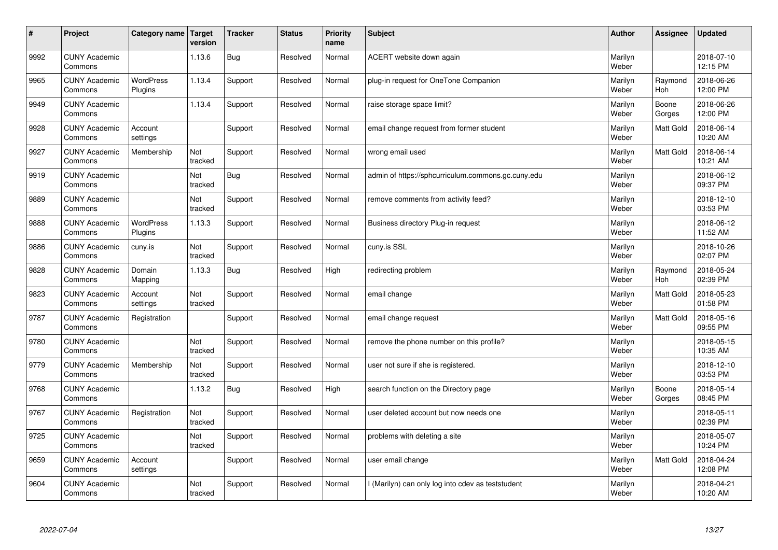| #    | Project                         | Category name               | Target<br>version | <b>Tracker</b> | <b>Status</b> | <b>Priority</b><br>name | <b>Subject</b>                                     | <b>Author</b>    | Assignee         | <b>Updated</b>         |
|------|---------------------------------|-----------------------------|-------------------|----------------|---------------|-------------------------|----------------------------------------------------|------------------|------------------|------------------------|
| 9992 | <b>CUNY Academic</b><br>Commons |                             | 1.13.6            | Bug            | Resolved      | Normal                  | ACERT website down again                           | Marilyn<br>Weber |                  | 2018-07-10<br>12:15 PM |
| 9965 | <b>CUNY Academic</b><br>Commons | <b>WordPress</b><br>Plugins | 1.13.4            | Support        | Resolved      | Normal                  | plug-in request for OneTone Companion              | Marilyn<br>Weber | Raymond<br>Hoh   | 2018-06-26<br>12:00 PM |
| 9949 | <b>CUNY Academic</b><br>Commons |                             | 1.13.4            | Support        | Resolved      | Normal                  | raise storage space limit?                         | Marilyn<br>Weber | Boone<br>Gorges  | 2018-06-26<br>12:00 PM |
| 9928 | <b>CUNY Academic</b><br>Commons | Account<br>settings         |                   | Support        | Resolved      | Normal                  | email change request from former student           | Marilyn<br>Weber | Matt Gold        | 2018-06-14<br>10:20 AM |
| 9927 | <b>CUNY Academic</b><br>Commons | Membership                  | Not<br>tracked    | Support        | Resolved      | Normal                  | wrong email used                                   | Marilyn<br>Weber | Matt Gold        | 2018-06-14<br>10:21 AM |
| 9919 | <b>CUNY Academic</b><br>Commons |                             | Not<br>tracked    | Bug            | Resolved      | Normal                  | admin of https://sphcurriculum.commons.gc.cuny.edu | Marilyn<br>Weber |                  | 2018-06-12<br>09:37 PM |
| 9889 | <b>CUNY Academic</b><br>Commons |                             | Not<br>tracked    | Support        | Resolved      | Normal                  | remove comments from activity feed?                | Marilyn<br>Weber |                  | 2018-12-10<br>03:53 PM |
| 9888 | <b>CUNY Academic</b><br>Commons | <b>WordPress</b><br>Plugins | 1.13.3            | Support        | Resolved      | Normal                  | Business directory Plug-in request                 | Marilyn<br>Weber |                  | 2018-06-12<br>11:52 AM |
| 9886 | <b>CUNY Academic</b><br>Commons | cuny.is                     | Not<br>tracked    | Support        | Resolved      | Normal                  | cuny.is SSL                                        | Marilyn<br>Weber |                  | 2018-10-26<br>02:07 PM |
| 9828 | <b>CUNY Academic</b><br>Commons | Domain<br>Mapping           | 1.13.3            | <b>Bug</b>     | Resolved      | High                    | redirecting problem                                | Marilyn<br>Weber | Raymond<br>Hoh   | 2018-05-24<br>02:39 PM |
| 9823 | <b>CUNY Academic</b><br>Commons | Account<br>settings         | Not<br>tracked    | Support        | Resolved      | Normal                  | email change                                       | Marilyn<br>Weber | Matt Gold        | 2018-05-23<br>01:58 PM |
| 9787 | <b>CUNY Academic</b><br>Commons | Registration                |                   | Support        | Resolved      | Normal                  | email change request                               | Marilyn<br>Weber | <b>Matt Gold</b> | 2018-05-16<br>09:55 PM |
| 9780 | <b>CUNY Academic</b><br>Commons |                             | Not<br>tracked    | Support        | Resolved      | Normal                  | remove the phone number on this profile?           | Marilyn<br>Weber |                  | 2018-05-15<br>10:35 AM |
| 9779 | <b>CUNY Academic</b><br>Commons | Membership                  | Not<br>tracked    | Support        | Resolved      | Normal                  | user not sure if she is registered.                | Marilyn<br>Weber |                  | 2018-12-10<br>03:53 PM |
| 9768 | <b>CUNY Academic</b><br>Commons |                             | 1.13.2            | <b>Bug</b>     | Resolved      | High                    | search function on the Directory page              | Marilyn<br>Weber | Boone<br>Gorges  | 2018-05-14<br>08:45 PM |
| 9767 | <b>CUNY Academic</b><br>Commons | Registration                | Not<br>tracked    | Support        | Resolved      | Normal                  | user deleted account but now needs one             | Marilyn<br>Weber |                  | 2018-05-11<br>02:39 PM |
| 9725 | <b>CUNY Academic</b><br>Commons |                             | Not<br>tracked    | Support        | Resolved      | Normal                  | problems with deleting a site                      | Marilyn<br>Weber |                  | 2018-05-07<br>10:24 PM |
| 9659 | <b>CUNY Academic</b><br>Commons | Account<br>settings         |                   | Support        | Resolved      | Normal                  | user email change                                  | Marilyn<br>Weber | <b>Matt Gold</b> | 2018-04-24<br>12:08 PM |
| 9604 | <b>CUNY Academic</b><br>Commons |                             | Not<br>tracked    | Support        | Resolved      | Normal                  | (Marilyn) can only log into cdev as teststudent    | Marilyn<br>Weber |                  | 2018-04-21<br>10:20 AM |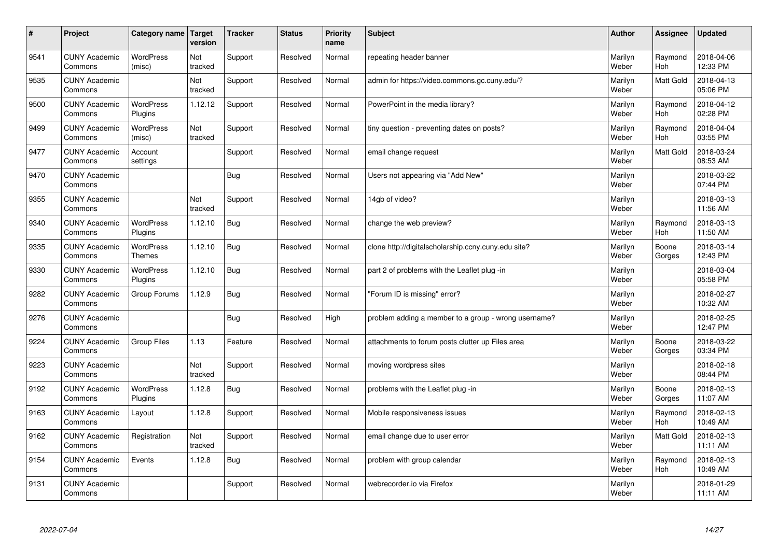| $\vert$ # | Project                         | Category name               | <b>Target</b><br>version | <b>Tracker</b> | <b>Status</b> | <b>Priority</b><br>name | <b>Subject</b>                                       | <b>Author</b>    | Assignee              | <b>Updated</b>         |
|-----------|---------------------------------|-----------------------------|--------------------------|----------------|---------------|-------------------------|------------------------------------------------------|------------------|-----------------------|------------------------|
| 9541      | <b>CUNY Academic</b><br>Commons | <b>WordPress</b><br>(misc)  | Not<br>tracked           | Support        | Resolved      | Normal                  | repeating header banner                              | Marilyn<br>Weber | Raymond<br><b>Hoh</b> | 2018-04-06<br>12:33 PM |
| 9535      | <b>CUNY Academic</b><br>Commons |                             | Not<br>tracked           | Support        | Resolved      | Normal                  | admin for https://video.commons.gc.cuny.edu/?        | Marilyn<br>Weber | <b>Matt Gold</b>      | 2018-04-13<br>05:06 PM |
| 9500      | <b>CUNY Academic</b><br>Commons | <b>WordPress</b><br>Plugins | 1.12.12                  | Support        | Resolved      | Normal                  | PowerPoint in the media library?                     | Marilyn<br>Weber | Raymond<br><b>Hoh</b> | 2018-04-12<br>02:28 PM |
| 9499      | <b>CUNY Academic</b><br>Commons | <b>WordPress</b><br>(misc)  | Not<br>tracked           | Support        | Resolved      | Normal                  | tiny question - preventing dates on posts?           | Marilyn<br>Weber | Raymond<br><b>Hoh</b> | 2018-04-04<br>03:55 PM |
| 9477      | <b>CUNY Academic</b><br>Commons | Account<br>settings         |                          | Support        | Resolved      | Normal                  | email change request                                 | Marilyn<br>Weber | Matt Gold             | 2018-03-24<br>08:53 AM |
| 9470      | <b>CUNY Academic</b><br>Commons |                             |                          | Bug            | Resolved      | Normal                  | Users not appearing via "Add New"                    | Marilyn<br>Weber |                       | 2018-03-22<br>07:44 PM |
| 9355      | <b>CUNY Academic</b><br>Commons |                             | Not<br>tracked           | Support        | Resolved      | Normal                  | 14gb of video?                                       | Marilyn<br>Weber |                       | 2018-03-13<br>11:56 AM |
| 9340      | <b>CUNY Academic</b><br>Commons | WordPress<br>Plugins        | 1.12.10                  | Bug            | Resolved      | Normal                  | change the web preview?                              | Marilyn<br>Weber | Raymond<br>Hoh        | 2018-03-13<br>11:50 AM |
| 9335      | <b>CUNY Academic</b><br>Commons | WordPress<br><b>Themes</b>  | 1.12.10                  | <b>Bug</b>     | Resolved      | Normal                  | clone http://digitalscholarship.ccny.cuny.edu site?  | Marilyn<br>Weber | Boone<br>Gorges       | 2018-03-14<br>12:43 PM |
| 9330      | <b>CUNY Academic</b><br>Commons | <b>WordPress</b><br>Plugins | 1.12.10                  | <b>Bug</b>     | Resolved      | Normal                  | part 2 of problems with the Leaflet plug-in          | Marilyn<br>Weber |                       | 2018-03-04<br>05:58 PM |
| 9282      | <b>CUNY Academic</b><br>Commons | Group Forums                | 1.12.9                   | <b>Bug</b>     | Resolved      | Normal                  | "Forum ID is missing" error?                         | Marilyn<br>Weber |                       | 2018-02-27<br>10:32 AM |
| 9276      | <b>CUNY Academic</b><br>Commons |                             |                          | <b>Bug</b>     | Resolved      | High                    | problem adding a member to a group - wrong username? | Marilyn<br>Weber |                       | 2018-02-25<br>12:47 PM |
| 9224      | <b>CUNY Academic</b><br>Commons | <b>Group Files</b>          | 1.13                     | Feature        | Resolved      | Normal                  | attachments to forum posts clutter up Files area     | Marilyn<br>Weber | Boone<br>Gorges       | 2018-03-22<br>03:34 PM |
| 9223      | <b>CUNY Academic</b><br>Commons |                             | Not<br>tracked           | Support        | Resolved      | Normal                  | moving wordpress sites                               | Marilyn<br>Weber |                       | 2018-02-18<br>08:44 PM |
| 9192      | <b>CUNY Academic</b><br>Commons | <b>WordPress</b><br>Plugins | 1.12.8                   | <b>Bug</b>     | Resolved      | Normal                  | problems with the Leaflet plug -in                   | Marilyn<br>Weber | Boone<br>Gorges       | 2018-02-13<br>11:07 AM |
| 9163      | <b>CUNY Academic</b><br>Commons | Layout                      | 1.12.8                   | Support        | Resolved      | Normal                  | Mobile responsiveness issues                         | Marilyn<br>Weber | Raymond<br><b>Hoh</b> | 2018-02-13<br>10:49 AM |
| 9162      | <b>CUNY Academic</b><br>Commons | Registration                | Not<br>tracked           | Support        | Resolved      | Normal                  | email change due to user error                       | Marilyn<br>Weber | Matt Gold             | 2018-02-13<br>11:11 AM |
| 9154      | <b>CUNY Academic</b><br>Commons | Events                      | 1.12.8                   | Bug            | Resolved      | Normal                  | problem with group calendar                          | Marilyn<br>Weber | Raymond<br>Hoh        | 2018-02-13<br>10:49 AM |
| 9131      | <b>CUNY Academic</b><br>Commons |                             |                          | Support        | Resolved      | Normal                  | webrecorder.io via Firefox                           | Marilyn<br>Weber |                       | 2018-01-29<br>11:11 AM |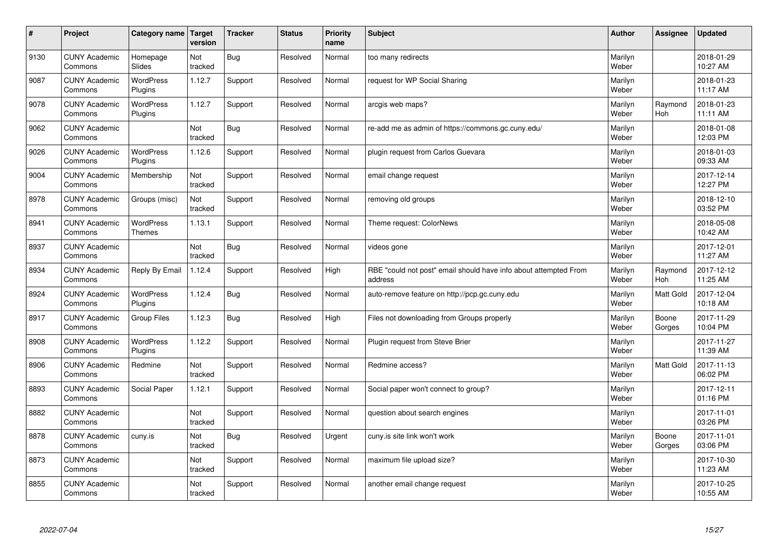| $\sharp$ | Project                         | Category name   Target      | version        | <b>Tracker</b> | <b>Status</b> | <b>Priority</b><br>name | <b>Subject</b>                                                              | <b>Author</b>    | <b>Assignee</b>       | <b>Updated</b>         |
|----------|---------------------------------|-----------------------------|----------------|----------------|---------------|-------------------------|-----------------------------------------------------------------------------|------------------|-----------------------|------------------------|
| 9130     | <b>CUNY Academic</b><br>Commons | Homepage<br>Slides          | Not<br>tracked | Bug            | Resolved      | Normal                  | too many redirects                                                          | Marilyn<br>Weber |                       | 2018-01-29<br>10:27 AM |
| 9087     | <b>CUNY Academic</b><br>Commons | <b>WordPress</b><br>Plugins | 1.12.7         | Support        | Resolved      | Normal                  | request for WP Social Sharing                                               | Marilyn<br>Weber |                       | 2018-01-23<br>11:17 AM |
| 9078     | <b>CUNY Academic</b><br>Commons | <b>WordPress</b><br>Plugins | 1.12.7         | Support        | Resolved      | Normal                  | arcgis web maps?                                                            | Marilyn<br>Weber | Raymond<br><b>Hoh</b> | 2018-01-23<br>11:11 AM |
| 9062     | <b>CUNY Academic</b><br>Commons |                             | Not<br>tracked | <b>Bug</b>     | Resolved      | Normal                  | re-add me as admin of https://commons.gc.cuny.edu/                          | Marilyn<br>Weber |                       | 2018-01-08<br>12:03 PM |
| 9026     | <b>CUNY Academic</b><br>Commons | <b>WordPress</b><br>Plugins | 1.12.6         | Support        | Resolved      | Normal                  | plugin request from Carlos Guevara                                          | Marilyn<br>Weber |                       | 2018-01-03<br>09:33 AM |
| 9004     | <b>CUNY Academic</b><br>Commons | Membership                  | Not<br>tracked | Support        | Resolved      | Normal                  | email change request                                                        | Marilyn<br>Weber |                       | 2017-12-14<br>12:27 PM |
| 8978     | <b>CUNY Academic</b><br>Commons | Groups (misc)               | Not<br>tracked | Support        | Resolved      | Normal                  | removing old groups                                                         | Marilyn<br>Weber |                       | 2018-12-10<br>03:52 PM |
| 8941     | <b>CUNY Academic</b><br>Commons | WordPress<br><b>Themes</b>  | 1.13.1         | Support        | Resolved      | Normal                  | Theme request: ColorNews                                                    | Marilyn<br>Weber |                       | 2018-05-08<br>10:42 AM |
| 8937     | <b>CUNY Academic</b><br>Commons |                             | Not<br>tracked | Bug            | Resolved      | Normal                  | videos gone                                                                 | Marilyn<br>Weber |                       | 2017-12-01<br>11:27 AM |
| 8934     | <b>CUNY Academic</b><br>Commons | Reply By Email              | 1.12.4         | Support        | Resolved      | High                    | RBE "could not post" email should have info about attempted From<br>address | Marilyn<br>Weber | Raymond<br><b>Hoh</b> | 2017-12-12<br>11:25 AM |
| 8924     | <b>CUNY Academic</b><br>Commons | <b>WordPress</b><br>Plugins | 1.12.4         | <b>Bug</b>     | Resolved      | Normal                  | auto-remove feature on http://pcp.gc.cuny.edu                               | Marilyn<br>Weber | <b>Matt Gold</b>      | 2017-12-04<br>10:18 AM |
| 8917     | <b>CUNY Academic</b><br>Commons | Group Files                 | 1.12.3         | Bug            | Resolved      | High                    | Files not downloading from Groups properly                                  | Marilyn<br>Weber | Boone<br>Gorges       | 2017-11-29<br>10:04 PM |
| 8908     | <b>CUNY Academic</b><br>Commons | <b>WordPress</b><br>Plugins | 1.12.2         | Support        | Resolved      | Normal                  | Plugin request from Steve Brier                                             | Marilyn<br>Weber |                       | 2017-11-27<br>11:39 AM |
| 8906     | <b>CUNY Academic</b><br>Commons | Redmine                     | Not<br>tracked | Support        | Resolved      | Normal                  | Redmine access?                                                             | Marilyn<br>Weber | <b>Matt Gold</b>      | 2017-11-13<br>06:02 PM |
| 8893     | <b>CUNY Academic</b><br>Commons | Social Paper                | 1.12.1         | Support        | Resolved      | Normal                  | Social paper won't connect to group?                                        | Marilyn<br>Weber |                       | 2017-12-11<br>01:16 PM |
| 8882     | <b>CUNY Academic</b><br>Commons |                             | Not<br>tracked | Support        | Resolved      | Normal                  | question about search engines                                               | Marilyn<br>Weber |                       | 2017-11-01<br>03:26 PM |
| 8878     | <b>CUNY Academic</b><br>Commons | cuny.is                     | Not<br>tracked | Bug            | Resolved      | Urgent                  | cuny is site link won't work                                                | Marilyn<br>Weber | Boone<br>Gorges       | 2017-11-01<br>03:06 PM |
| 8873     | <b>CUNY Academic</b><br>Commons |                             | Not<br>tracked | Support        | Resolved      | Normal                  | maximum file upload size?                                                   | Marilyn<br>Weber |                       | 2017-10-30<br>11:23 AM |
| 8855     | <b>CUNY Academic</b><br>Commons |                             | Not<br>tracked | Support        | Resolved      | Normal                  | another email change request                                                | Marilyn<br>Weber |                       | 2017-10-25<br>10:55 AM |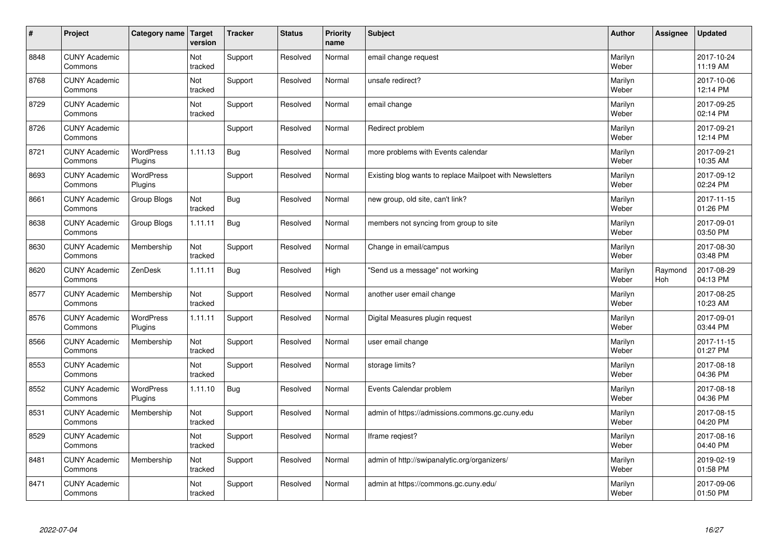| $\vert$ # | Project                         | Category name   Target      | version        | <b>Tracker</b> | <b>Status</b> | <b>Priority</b><br>name | <b>Subject</b>                                           | <b>Author</b>    | Assignee              | <b>Updated</b>         |
|-----------|---------------------------------|-----------------------------|----------------|----------------|---------------|-------------------------|----------------------------------------------------------|------------------|-----------------------|------------------------|
| 8848      | <b>CUNY Academic</b><br>Commons |                             | Not<br>tracked | Support        | Resolved      | Normal                  | email change request                                     | Marilyn<br>Weber |                       | 2017-10-24<br>11:19 AM |
| 8768      | <b>CUNY Academic</b><br>Commons |                             | Not<br>tracked | Support        | Resolved      | Normal                  | unsafe redirect?                                         | Marilyn<br>Weber |                       | 2017-10-06<br>12:14 PM |
| 8729      | <b>CUNY Academic</b><br>Commons |                             | Not<br>tracked | Support        | Resolved      | Normal                  | email change                                             | Marilyn<br>Weber |                       | 2017-09-25<br>02:14 PM |
| 8726      | <b>CUNY Academic</b><br>Commons |                             |                | Support        | Resolved      | Normal                  | Redirect problem                                         | Marilyn<br>Weber |                       | 2017-09-21<br>12:14 PM |
| 8721      | <b>CUNY Academic</b><br>Commons | WordPress<br>Plugins        | 1.11.13        | <b>Bug</b>     | Resolved      | Normal                  | more problems with Events calendar                       | Marilyn<br>Weber |                       | 2017-09-21<br>10:35 AM |
| 8693      | <b>CUNY Academic</b><br>Commons | <b>WordPress</b><br>Plugins |                | Support        | Resolved      | Normal                  | Existing blog wants to replace Mailpoet with Newsletters | Marilyn<br>Weber |                       | 2017-09-12<br>02:24 PM |
| 8661      | <b>CUNY Academic</b><br>Commons | Group Blogs                 | Not<br>tracked | <b>Bug</b>     | Resolved      | Normal                  | new group, old site, can't link?                         | Marilyn<br>Weber |                       | 2017-11-15<br>01:26 PM |
| 8638      | <b>CUNY Academic</b><br>Commons | Group Blogs                 | 1.11.11        | Bug            | Resolved      | Normal                  | members not syncing from group to site                   | Marilyn<br>Weber |                       | 2017-09-01<br>03:50 PM |
| 8630      | <b>CUNY Academic</b><br>Commons | Membership                  | Not<br>tracked | Support        | Resolved      | Normal                  | Change in email/campus                                   | Marilyn<br>Weber |                       | 2017-08-30<br>03:48 PM |
| 8620      | <b>CUNY Academic</b><br>Commons | ZenDesk                     | 1.11.11        | Bug            | Resolved      | High                    | 'Send us a message" not working                          | Marilyn<br>Weber | Raymond<br><b>Hoh</b> | 2017-08-29<br>04:13 PM |
| 8577      | <b>CUNY Academic</b><br>Commons | Membership                  | Not<br>tracked | Support        | Resolved      | Normal                  | another user email change                                | Marilyn<br>Weber |                       | 2017-08-25<br>10:23 AM |
| 8576      | <b>CUNY Academic</b><br>Commons | WordPress<br>Plugins        | 1.11.11        | Support        | Resolved      | Normal                  | Digital Measures plugin request                          | Marilyn<br>Weber |                       | 2017-09-01<br>03:44 PM |
| 8566      | <b>CUNY Academic</b><br>Commons | Membership                  | Not<br>tracked | Support        | Resolved      | Normal                  | user email change                                        | Marilyn<br>Weber |                       | 2017-11-15<br>01:27 PM |
| 8553      | <b>CUNY Academic</b><br>Commons |                             | Not<br>tracked | Support        | Resolved      | Normal                  | storage limits?                                          | Marilyn<br>Weber |                       | 2017-08-18<br>04:36 PM |
| 8552      | <b>CUNY Academic</b><br>Commons | WordPress<br>Plugins        | 1.11.10        | <b>Bug</b>     | Resolved      | Normal                  | Events Calendar problem                                  | Marilyn<br>Weber |                       | 2017-08-18<br>04:36 PM |
| 8531      | <b>CUNY Academic</b><br>Commons | Membership                  | Not<br>tracked | Support        | Resolved      | Normal                  | admin of https://admissions.commons.gc.cuny.edu          | Marilyn<br>Weber |                       | 2017-08-15<br>04:20 PM |
| 8529      | <b>CUNY Academic</b><br>Commons |                             | Not<br>tracked | Support        | Resolved      | Normal                  | Iframe regiest?                                          | Marilyn<br>Weber |                       | 2017-08-16<br>04:40 PM |
| 8481      | <b>CUNY Academic</b><br>Commons | Membership                  | Not<br>tracked | Support        | Resolved      | Normal                  | admin of http://swipanalytic.org/organizers/             | Marilyn<br>Weber |                       | 2019-02-19<br>01:58 PM |
| 8471      | <b>CUNY Academic</b><br>Commons |                             | Not<br>tracked | Support        | Resolved      | Normal                  | admin at https://commons.gc.cuny.edu/                    | Marilyn<br>Weber |                       | 2017-09-06<br>01:50 PM |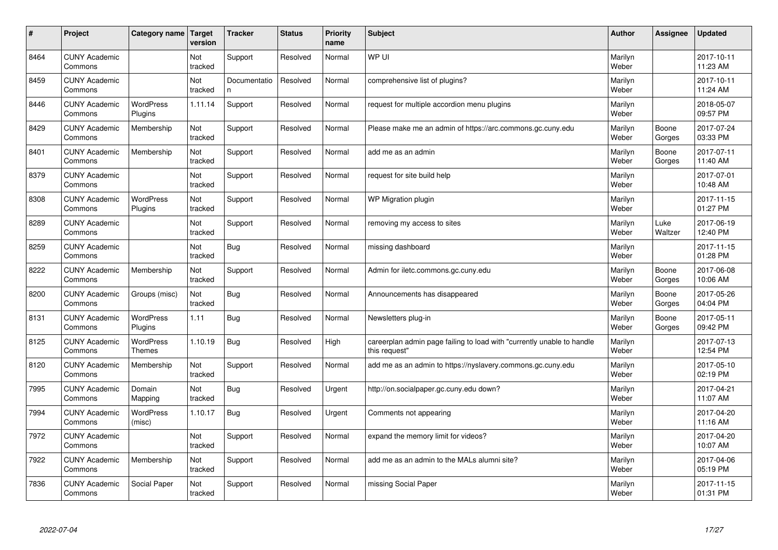| $\vert$ # | Project                         | Category name                     | <b>Target</b><br>version | <b>Tracker</b>    | <b>Status</b> | <b>Priority</b><br>name | <b>Subject</b>                                                                          | <b>Author</b>    | Assignee        | <b>Updated</b>         |
|-----------|---------------------------------|-----------------------------------|--------------------------|-------------------|---------------|-------------------------|-----------------------------------------------------------------------------------------|------------------|-----------------|------------------------|
| 8464      | <b>CUNY Academic</b><br>Commons |                                   | Not<br>tracked           | Support           | Resolved      | Normal                  | WP UI                                                                                   | Marilyn<br>Weber |                 | 2017-10-11<br>11:23 AM |
| 8459      | <b>CUNY Academic</b><br>Commons |                                   | Not<br>tracked           | Documentatio<br>n | Resolved      | Normal                  | comprehensive list of plugins?                                                          | Marilyn<br>Weber |                 | 2017-10-11<br>11:24 AM |
| 8446      | <b>CUNY Academic</b><br>Commons | <b>WordPress</b><br>Plugins       | 1.11.14                  | Support           | Resolved      | Normal                  | request for multiple accordion menu plugins                                             | Marilyn<br>Weber |                 | 2018-05-07<br>09:57 PM |
| 8429      | <b>CUNY Academic</b><br>Commons | Membership                        | Not<br>tracked           | Support           | Resolved      | Normal                  | Please make me an admin of https://arc.commons.gc.cuny.edu                              | Marilyn<br>Weber | Boone<br>Gorges | 2017-07-24<br>03:33 PM |
| 8401      | <b>CUNY Academic</b><br>Commons | Membership                        | Not<br>tracked           | Support           | Resolved      | Normal                  | add me as an admin                                                                      | Marilyn<br>Weber | Boone<br>Gorges | 2017-07-11<br>11:40 AM |
| 8379      | <b>CUNY Academic</b><br>Commons |                                   | Not<br>tracked           | Support           | Resolved      | Normal                  | request for site build help                                                             | Marilyn<br>Weber |                 | 2017-07-01<br>10:48 AM |
| 8308      | <b>CUNY Academic</b><br>Commons | <b>WordPress</b><br>Plugins       | Not<br>tracked           | Support           | Resolved      | Normal                  | WP Migration plugin                                                                     | Marilyn<br>Weber |                 | 2017-11-15<br>01:27 PM |
| 8289      | <b>CUNY Academic</b><br>Commons |                                   | <b>Not</b><br>tracked    | Support           | Resolved      | Normal                  | removing my access to sites                                                             | Marilyn<br>Weber | Luke<br>Waltzer | 2017-06-19<br>12:40 PM |
| 8259      | <b>CUNY Academic</b><br>Commons |                                   | Not<br>tracked           | <b>Bug</b>        | Resolved      | Normal                  | missing dashboard                                                                       | Marilyn<br>Weber |                 | 2017-11-15<br>01:28 PM |
| 8222      | <b>CUNY Academic</b><br>Commons | Membership                        | Not<br>tracked           | Support           | Resolved      | Normal                  | Admin for iletc.commons.gc.cuny.edu                                                     | Marilyn<br>Weber | Boone<br>Gorges | 2017-06-08<br>10:06 AM |
| 8200      | <b>CUNY Academic</b><br>Commons | Groups (misc)                     | Not<br>tracked           | <b>Bug</b>        | Resolved      | Normal                  | Announcements has disappeared                                                           | Marilyn<br>Weber | Boone<br>Gorges | 2017-05-26<br>04:04 PM |
| 8131      | <b>CUNY Academic</b><br>Commons | <b>WordPress</b><br>Plugins       | 1.11                     | Bug               | Resolved      | Normal                  | Newsletters plug-in                                                                     | Marilyn<br>Weber | Boone<br>Gorges | 2017-05-11<br>09:42 PM |
| 8125      | <b>CUNY Academic</b><br>Commons | <b>WordPress</b><br><b>Themes</b> | 1.10.19                  | Bug               | Resolved      | High                    | careerplan admin page failing to load with "currently unable to handle<br>this request" | Marilyn<br>Weber |                 | 2017-07-13<br>12:54 PM |
| 8120      | <b>CUNY Academic</b><br>Commons | Membership                        | Not<br>tracked           | Support           | Resolved      | Normal                  | add me as an admin to https://nyslavery.commons.gc.cuny.edu                             | Marilyn<br>Weber |                 | 2017-05-10<br>02:19 PM |
| 7995      | <b>CUNY Academic</b><br>Commons | Domain<br>Mapping                 | Not<br>tracked           | Bug               | Resolved      | Urgent                  | http://on.socialpaper.gc.cuny.edu down?                                                 | Marilyn<br>Weber |                 | 2017-04-21<br>11:07 AM |
| 7994      | <b>CUNY Academic</b><br>Commons | WordPress<br>(misc)               | 1.10.17                  | Bug               | Resolved      | Urgent                  | Comments not appearing                                                                  | Marilyn<br>Weber |                 | 2017-04-20<br>11:16 AM |
| 7972      | <b>CUNY Academic</b><br>Commons |                                   | Not<br>tracked           | Support           | Resolved      | Normal                  | expand the memory limit for videos?                                                     | Marilyn<br>Weber |                 | 2017-04-20<br>10:07 AM |
| 7922      | <b>CUNY Academic</b><br>Commons | Membership                        | Not<br>tracked           | Support           | Resolved      | Normal                  | add me as an admin to the MALs alumni site?                                             | Marilyn<br>Weber |                 | 2017-04-06<br>05:19 PM |
| 7836      | <b>CUNY Academic</b><br>Commons | Social Paper                      | Not<br>tracked           | Support           | Resolved      | Normal                  | missing Social Paper                                                                    | Marilyn<br>Weber |                 | 2017-11-15<br>01:31 PM |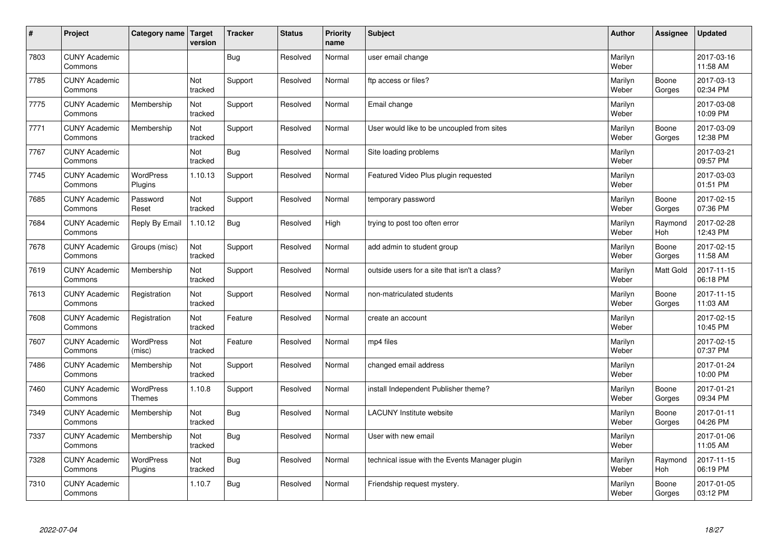| $\sharp$ | Project                         | Category name   Target            | version        | <b>Tracker</b> | <b>Status</b> | <b>Priority</b><br>name | <b>Subject</b>                                 | <b>Author</b>    | Assignee         | <b>Updated</b>         |
|----------|---------------------------------|-----------------------------------|----------------|----------------|---------------|-------------------------|------------------------------------------------|------------------|------------------|------------------------|
| 7803     | <b>CUNY Academic</b><br>Commons |                                   |                | Bug            | Resolved      | Normal                  | user email change                              | Marilyn<br>Weber |                  | 2017-03-16<br>11:58 AM |
| 7785     | <b>CUNY Academic</b><br>Commons |                                   | Not<br>tracked | Support        | Resolved      | Normal                  | ftp access or files?                           | Marilyn<br>Weber | Boone<br>Gorges  | 2017-03-13<br>02:34 PM |
| 7775     | <b>CUNY Academic</b><br>Commons | Membership                        | Not<br>tracked | Support        | Resolved      | Normal                  | Email change                                   | Marilyn<br>Weber |                  | 2017-03-08<br>10:09 PM |
| 7771     | <b>CUNY Academic</b><br>Commons | Membership                        | Not<br>tracked | Support        | Resolved      | Normal                  | User would like to be uncoupled from sites     | Marilyn<br>Weber | Boone<br>Gorges  | 2017-03-09<br>12:38 PM |
| 7767     | <b>CUNY Academic</b><br>Commons |                                   | Not<br>tracked | Bug            | Resolved      | Normal                  | Site loading problems                          | Marilyn<br>Weber |                  | 2017-03-21<br>09:57 PM |
| 7745     | <b>CUNY Academic</b><br>Commons | WordPress<br>Plugins              | 1.10.13        | Support        | Resolved      | Normal                  | Featured Video Plus plugin requested           | Marilyn<br>Weber |                  | 2017-03-03<br>01:51 PM |
| 7685     | <b>CUNY Academic</b><br>Commons | Password<br>Reset                 | Not<br>tracked | Support        | Resolved      | Normal                  | temporary password                             | Marilyn<br>Weber | Boone<br>Gorges  | 2017-02-15<br>07:36 PM |
| 7684     | <b>CUNY Academic</b><br>Commons | Reply By Email                    | 1.10.12        | Bug            | Resolved      | High                    | trying to post too often error                 | Marilyn<br>Weber | Raymond<br>Hoh   | 2017-02-28<br>12:43 PM |
| 7678     | <b>CUNY Academic</b><br>Commons | Groups (misc)                     | Not<br>tracked | Support        | Resolved      | Normal                  | add admin to student group                     | Marilyn<br>Weber | Boone<br>Gorges  | 2017-02-15<br>11:58 AM |
| 7619     | <b>CUNY Academic</b><br>Commons | Membership                        | Not<br>tracked | Support        | Resolved      | Normal                  | outside users for a site that isn't a class?   | Marilyn<br>Weber | <b>Matt Gold</b> | 2017-11-15<br>06:18 PM |
| 7613     | <b>CUNY Academic</b><br>Commons | Registration                      | Not<br>tracked | Support        | Resolved      | Normal                  | non-matriculated students                      | Marilyn<br>Weber | Boone<br>Gorges  | 2017-11-15<br>11:03 AM |
| 7608     | <b>CUNY Academic</b><br>Commons | Registration                      | Not<br>tracked | Feature        | Resolved      | Normal                  | create an account                              | Marilyn<br>Weber |                  | 2017-02-15<br>10:45 PM |
| 7607     | <b>CUNY Academic</b><br>Commons | WordPress<br>(misc)               | Not<br>tracked | Feature        | Resolved      | Normal                  | mp4 files                                      | Marilyn<br>Weber |                  | 2017-02-15<br>07:37 PM |
| 7486     | <b>CUNY Academic</b><br>Commons | Membership                        | Not<br>tracked | Support        | Resolved      | Normal                  | changed email address                          | Marilyn<br>Weber |                  | 2017-01-24<br>10:00 PM |
| 7460     | <b>CUNY Academic</b><br>Commons | <b>WordPress</b><br><b>Themes</b> | 1.10.8         | Support        | Resolved      | Normal                  | install Independent Publisher theme?           | Marilyn<br>Weber | Boone<br>Gorges  | 2017-01-21<br>09:34 PM |
| 7349     | <b>CUNY Academic</b><br>Commons | Membership                        | Not<br>tracked | Bug            | Resolved      | Normal                  | <b>LACUNY Institute website</b>                | Marilyn<br>Weber | Boone<br>Gorges  | 2017-01-11<br>04:26 PM |
| 7337     | <b>CUNY Academic</b><br>Commons | Membership                        | Not<br>tracked | Bug            | Resolved      | Normal                  | User with new email                            | Marilyn<br>Weber |                  | 2017-01-06<br>11:05 AM |
| 7328     | <b>CUNY Academic</b><br>Commons | <b>WordPress</b><br>Plugins       | Not<br>tracked | Bug            | Resolved      | Normal                  | technical issue with the Events Manager plugin | Marilyn<br>Weber | Raymond<br>Hoh   | 2017-11-15<br>06:19 PM |
| 7310     | <b>CUNY Academic</b><br>Commons |                                   | 1.10.7         | <b>Bug</b>     | Resolved      | Normal                  | Friendship request mystery.                    | Marilyn<br>Weber | Boone<br>Gorges  | 2017-01-05<br>03:12 PM |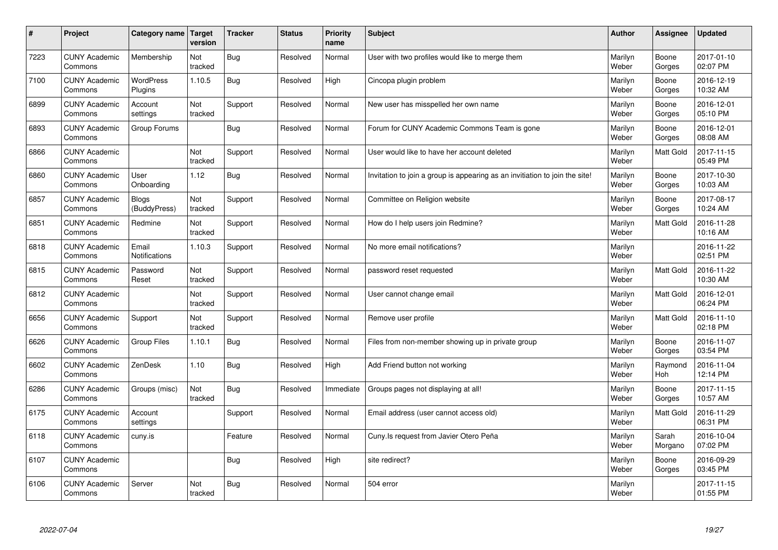| #    | Project                         | Category name                 | <b>Target</b><br>version | <b>Tracker</b> | <b>Status</b> | <b>Priority</b><br>name | <b>Subject</b>                                                              | <b>Author</b>    | Assignee         | <b>Updated</b>         |
|------|---------------------------------|-------------------------------|--------------------------|----------------|---------------|-------------------------|-----------------------------------------------------------------------------|------------------|------------------|------------------------|
| 7223 | <b>CUNY Academic</b><br>Commons | Membership                    | Not<br>tracked           | <b>Bug</b>     | Resolved      | Normal                  | User with two profiles would like to merge them                             | Marilyn<br>Weber | Boone<br>Gorges  | 2017-01-10<br>02:07 PM |
| 7100 | <b>CUNY Academic</b><br>Commons | <b>WordPress</b><br>Plugins   | 1.10.5                   | Bug            | Resolved      | High                    | Cincopa plugin problem                                                      | Marilyn<br>Weber | Boone<br>Gorges  | 2016-12-19<br>10:32 AM |
| 6899 | <b>CUNY Academic</b><br>Commons | Account<br>settings           | Not<br>tracked           | Support        | Resolved      | Normal                  | New user has misspelled her own name                                        | Marilyn<br>Weber | Boone<br>Gorges  | 2016-12-01<br>05:10 PM |
| 6893 | <b>CUNY Academic</b><br>Commons | Group Forums                  |                          | <b>Bug</b>     | Resolved      | Normal                  | Forum for CUNY Academic Commons Team is gone                                | Marilyn<br>Weber | Boone<br>Gorges  | 2016-12-01<br>08:08 AM |
| 6866 | <b>CUNY Academic</b><br>Commons |                               | Not<br>tracked           | Support        | Resolved      | Normal                  | User would like to have her account deleted                                 | Marilyn<br>Weber | <b>Matt Gold</b> | 2017-11-15<br>05:49 PM |
| 6860 | <b>CUNY Academic</b><br>Commons | User<br>Onboarding            | 1.12                     | <b>Bug</b>     | Resolved      | Normal                  | Invitation to join a group is appearing as an invitiation to join the site! | Marilyn<br>Weber | Boone<br>Gorges  | 2017-10-30<br>10:03 AM |
| 6857 | <b>CUNY Academic</b><br>Commons | Blogs<br>(BuddyPress)         | Not<br>tracked           | Support        | Resolved      | Normal                  | Committee on Religion website                                               | Marilyn<br>Weber | Boone<br>Gorges  | 2017-08-17<br>10:24 AM |
| 6851 | <b>CUNY Academic</b><br>Commons | Redmine                       | Not<br>tracked           | Support        | Resolved      | Normal                  | How do I help users join Redmine?                                           | Marilyn<br>Weber | Matt Gold        | 2016-11-28<br>10:16 AM |
| 6818 | <b>CUNY Academic</b><br>Commons | Email<br><b>Notifications</b> | 1.10.3                   | Support        | Resolved      | Normal                  | No more email notifications?                                                | Marilyn<br>Weber |                  | 2016-11-22<br>02:51 PM |
| 6815 | <b>CUNY Academic</b><br>Commons | Password<br>Reset             | Not<br>tracked           | Support        | Resolved      | Normal                  | password reset requested                                                    | Marilyn<br>Weber | Matt Gold        | 2016-11-22<br>10:30 AM |
| 6812 | <b>CUNY Academic</b><br>Commons |                               | Not<br>tracked           | Support        | Resolved      | Normal                  | User cannot change email                                                    | Marilyn<br>Weber | <b>Matt Gold</b> | 2016-12-01<br>06:24 PM |
| 6656 | <b>CUNY Academic</b><br>Commons | Support                       | Not<br>tracked           | Support        | Resolved      | Normal                  | Remove user profile                                                         | Marilyn<br>Weber | Matt Gold        | 2016-11-10<br>02:18 PM |
| 6626 | <b>CUNY Academic</b><br>Commons | Group Files                   | 1.10.1                   | Bug            | Resolved      | Normal                  | Files from non-member showing up in private group                           | Marilyn<br>Weber | Boone<br>Gorges  | 2016-11-07<br>03:54 PM |
| 6602 | <b>CUNY Academic</b><br>Commons | ZenDesk                       | 1.10                     | <b>Bug</b>     | Resolved      | High                    | Add Friend button not working                                               | Marilyn<br>Weber | Raymond<br>Hoh   | 2016-11-04<br>12:14 PM |
| 6286 | <b>CUNY Academic</b><br>Commons | Groups (misc)                 | Not<br>tracked           | <b>Bug</b>     | Resolved      | Immediate               | Groups pages not displaying at all!                                         | Marilyn<br>Weber | Boone<br>Gorges  | 2017-11-15<br>10:57 AM |
| 6175 | <b>CUNY Academic</b><br>Commons | Account<br>settings           |                          | Support        | Resolved      | Normal                  | Email address (user cannot access old)                                      | Marilyn<br>Weber | Matt Gold        | 2016-11-29<br>06:31 PM |
| 6118 | <b>CUNY Academic</b><br>Commons | cuny.is                       |                          | Feature        | Resolved      | Normal                  | Cuny.Is request from Javier Otero Peña                                      | Marilyn<br>Weber | Sarah<br>Morgano | 2016-10-04<br>07:02 PM |
| 6107 | <b>CUNY Academic</b><br>Commons |                               |                          | <b>Bug</b>     | Resolved      | High                    | site redirect?                                                              | Marilyn<br>Weber | Boone<br>Gorges  | 2016-09-29<br>03:45 PM |
| 6106 | <b>CUNY Academic</b><br>Commons | Server                        | Not<br>tracked           | Bug            | Resolved      | Normal                  | 504 error                                                                   | Marilyn<br>Weber |                  | 2017-11-15<br>01:55 PM |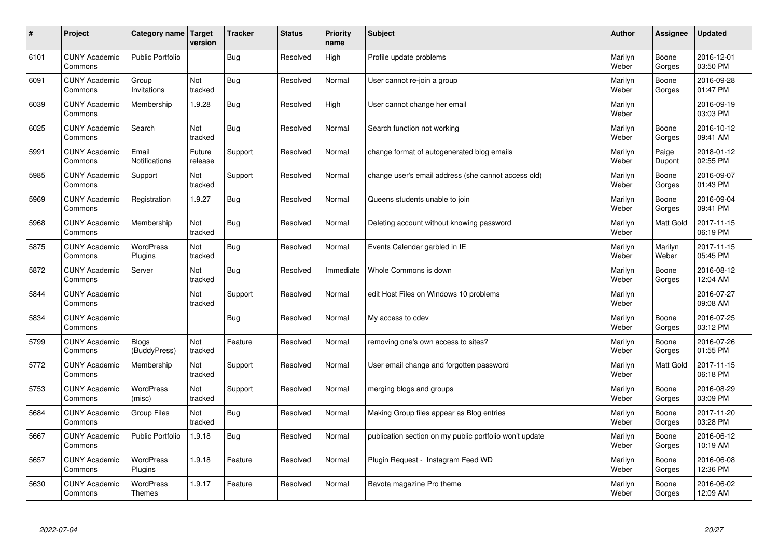| $\sharp$ | Project                         | Category name   Target            | version           | <b>Tracker</b> | <b>Status</b> | <b>Priority</b><br>name | <b>Subject</b>                                          | <b>Author</b>    | Assignee         | <b>Updated</b>         |
|----------|---------------------------------|-----------------------------------|-------------------|----------------|---------------|-------------------------|---------------------------------------------------------|------------------|------------------|------------------------|
| 6101     | <b>CUNY Academic</b><br>Commons | <b>Public Portfolio</b>           |                   | Bug            | Resolved      | High                    | Profile update problems                                 | Marilyn<br>Weber | Boone<br>Gorges  | 2016-12-01<br>03:50 PM |
| 6091     | <b>CUNY Academic</b><br>Commons | Group<br>Invitations              | Not<br>tracked    | Bug            | Resolved      | Normal                  | User cannot re-join a group                             | Marilyn<br>Weber | Boone<br>Gorges  | 2016-09-28<br>01:47 PM |
| 6039     | <b>CUNY Academic</b><br>Commons | Membership                        | 1.9.28            | Bug            | Resolved      | High                    | User cannot change her email                            | Marilyn<br>Weber |                  | 2016-09-19<br>03:03 PM |
| 6025     | <b>CUNY Academic</b><br>Commons | Search                            | Not<br>tracked    | <b>Bug</b>     | Resolved      | Normal                  | Search function not working                             | Marilyn<br>Weber | Boone<br>Gorges  | 2016-10-12<br>09:41 AM |
| 5991     | <b>CUNY Academic</b><br>Commons | Email<br>Notifications            | Future<br>release | Support        | Resolved      | Normal                  | change format of autogenerated blog emails              | Marilyn<br>Weber | Paige<br>Dupont  | 2018-01-12<br>02:55 PM |
| 5985     | <b>CUNY Academic</b><br>Commons | Support                           | Not<br>tracked    | Support        | Resolved      | Normal                  | change user's email address (she cannot access old)     | Marilyn<br>Weber | Boone<br>Gorges  | 2016-09-07<br>01:43 PM |
| 5969     | <b>CUNY Academic</b><br>Commons | Registration                      | 1.9.27            | Bug            | Resolved      | Normal                  | Queens students unable to join                          | Marilyn<br>Weber | Boone<br>Gorges  | 2016-09-04<br>09:41 PM |
| 5968     | <b>CUNY Academic</b><br>Commons | Membership                        | Not<br>tracked    | Bug            | Resolved      | Normal                  | Deleting account without knowing password               | Marilyn<br>Weber | Matt Gold        | 2017-11-15<br>06:19 PM |
| 5875     | <b>CUNY Academic</b><br>Commons | <b>WordPress</b><br>Plugins       | Not<br>tracked    | Bug            | Resolved      | Normal                  | Events Calendar garbled in IE                           | Marilyn<br>Weber | Marilyn<br>Weber | 2017-11-15<br>05:45 PM |
| 5872     | <b>CUNY Academic</b><br>Commons | Server                            | Not<br>tracked    | Bug            | Resolved      | Immediate               | Whole Commons is down                                   | Marilyn<br>Weber | Boone<br>Gorges  | 2016-08-12<br>12:04 AM |
| 5844     | <b>CUNY Academic</b><br>Commons |                                   | Not<br>tracked    | Support        | Resolved      | Normal                  | edit Host Files on Windows 10 problems                  | Marilyn<br>Weber |                  | 2016-07-27<br>09:08 AM |
| 5834     | <b>CUNY Academic</b><br>Commons |                                   |                   | Bug            | Resolved      | Normal                  | My access to cdev                                       | Marilyn<br>Weber | Boone<br>Gorges  | 2016-07-25<br>03:12 PM |
| 5799     | <b>CUNY Academic</b><br>Commons | Blogs<br>(BuddyPress)             | Not<br>tracked    | Feature        | Resolved      | Normal                  | removing one's own access to sites?                     | Marilyn<br>Weber | Boone<br>Gorges  | 2016-07-26<br>01:55 PM |
| 5772     | <b>CUNY Academic</b><br>Commons | Membership                        | Not<br>tracked    | Support        | Resolved      | Normal                  | User email change and forgotten password                | Marilyn<br>Weber | Matt Gold        | 2017-11-15<br>06:18 PM |
| 5753     | <b>CUNY Academic</b><br>Commons | <b>WordPress</b><br>(misc)        | Not<br>tracked    | Support        | Resolved      | Normal                  | merging blogs and groups                                | Marilyn<br>Weber | Boone<br>Gorges  | 2016-08-29<br>03:09 PM |
| 5684     | <b>CUNY Academic</b><br>Commons | <b>Group Files</b>                | Not<br>tracked    | <b>Bug</b>     | Resolved      | Normal                  | Making Group files appear as Blog entries               | Marilyn<br>Weber | Boone<br>Gorges  | 2017-11-20<br>03:28 PM |
| 5667     | <b>CUNY Academic</b><br>Commons | <b>Public Portfolio</b>           | 1.9.18            | Bug            | Resolved      | Normal                  | publication section on my public portfolio won't update | Marilyn<br>Weber | Boone<br>Gorges  | 2016-06-12<br>10:19 AM |
| 5657     | <b>CUNY Academic</b><br>Commons | WordPress<br>Plugins              | 1.9.18            | Feature        | Resolved      | Normal                  | Plugin Request - Instagram Feed WD                      | Marilyn<br>Weber | Boone<br>Gorges  | 2016-06-08<br>12:36 PM |
| 5630     | <b>CUNY Academic</b><br>Commons | <b>WordPress</b><br><b>Themes</b> | 1.9.17            | Feature        | Resolved      | Normal                  | Bavota magazine Pro theme                               | Marilyn<br>Weber | Boone<br>Gorges  | 2016-06-02<br>12:09 AM |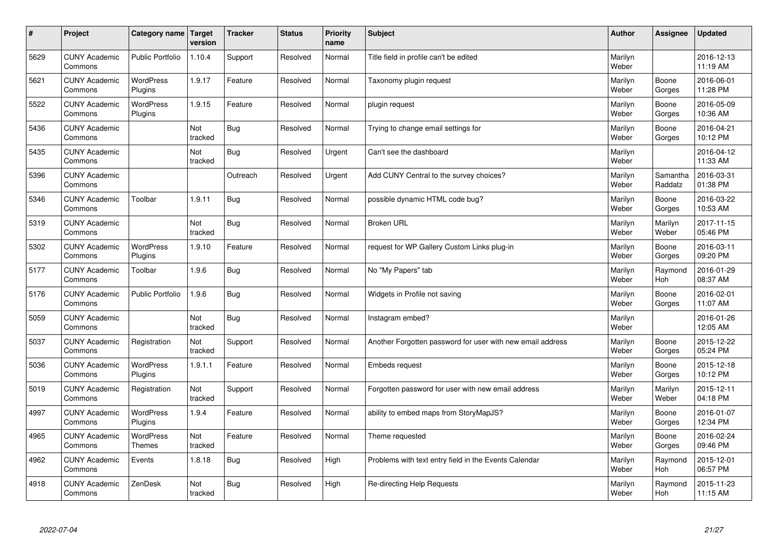| $\pmb{\#}$ | Project                         | <b>Category name</b>        | Target<br>version | <b>Tracker</b> | <b>Status</b> | <b>Priority</b><br>name | <b>Subject</b>                                             | <b>Author</b>    | Assignee            | <b>Updated</b>         |
|------------|---------------------------------|-----------------------------|-------------------|----------------|---------------|-------------------------|------------------------------------------------------------|------------------|---------------------|------------------------|
| 5629       | <b>CUNY Academic</b><br>Commons | <b>Public Portfolio</b>     | 1.10.4            | Support        | Resolved      | Normal                  | Title field in profile can't be edited                     | Marilyn<br>Weber |                     | 2016-12-13<br>11:19 AM |
| 5621       | <b>CUNY Academic</b><br>Commons | <b>WordPress</b><br>Plugins | 1.9.17            | Feature        | Resolved      | Normal                  | Taxonomy plugin request                                    | Marilyn<br>Weber | Boone<br>Gorges     | 2016-06-01<br>11:28 PM |
| 5522       | <b>CUNY Academic</b><br>Commons | <b>WordPress</b><br>Plugins | 1.9.15            | Feature        | Resolved      | Normal                  | plugin request                                             | Marilyn<br>Weber | Boone<br>Gorges     | 2016-05-09<br>10:36 AM |
| 5436       | <b>CUNY Academic</b><br>Commons |                             | Not<br>tracked    | <b>Bug</b>     | Resolved      | Normal                  | Trying to change email settings for                        | Marilyn<br>Weber | Boone<br>Gorges     | 2016-04-21<br>10:12 PM |
| 5435       | <b>CUNY Academic</b><br>Commons |                             | Not<br>tracked    | <b>Bug</b>     | Resolved      | Urgent                  | Can't see the dashboard                                    | Marilyn<br>Weber |                     | 2016-04-12<br>11:33 AM |
| 5396       | <b>CUNY Academic</b><br>Commons |                             |                   | Outreach       | Resolved      | Urgent                  | Add CUNY Central to the survey choices?                    | Marilyn<br>Weber | Samantha<br>Raddatz | 2016-03-31<br>01:38 PM |
| 5346       | <b>CUNY Academic</b><br>Commons | Toolbar                     | 1.9.11            | Bug            | Resolved      | Normal                  | possible dynamic HTML code bug?                            | Marilyn<br>Weber | Boone<br>Gorges     | 2016-03-22<br>10:53 AM |
| 5319       | <b>CUNY Academic</b><br>Commons |                             | Not<br>tracked    | <b>Bug</b>     | Resolved      | Normal                  | <b>Broken URL</b>                                          | Marilyn<br>Weber | Marilyn<br>Weber    | 2017-11-15<br>05:46 PM |
| 5302       | <b>CUNY Academic</b><br>Commons | <b>WordPress</b><br>Plugins | 1.9.10            | Feature        | Resolved      | Normal                  | request for WP Gallery Custom Links plug-in                | Marilyn<br>Weber | Boone<br>Gorges     | 2016-03-11<br>09:20 PM |
| 5177       | <b>CUNY Academic</b><br>Commons | Toolbar                     | 1.9.6             | Bug            | Resolved      | Normal                  | No "My Papers" tab                                         | Marilyn<br>Weber | Raymond<br>Hoh      | 2016-01-29<br>08:37 AM |
| 5176       | <b>CUNY Academic</b><br>Commons | <b>Public Portfolio</b>     | 1.9.6             | <b>Bug</b>     | Resolved      | Normal                  | Widgets in Profile not saving                              | Marilyn<br>Weber | Boone<br>Gorges     | 2016-02-01<br>11:07 AM |
| 5059       | <b>CUNY Academic</b><br>Commons |                             | Not<br>tracked    | <b>Bug</b>     | Resolved      | Normal                  | Instagram embed?                                           | Marilyn<br>Weber |                     | 2016-01-26<br>12:05 AM |
| 5037       | <b>CUNY Academic</b><br>Commons | Registration                | Not<br>tracked    | Support        | Resolved      | Normal                  | Another Forgotten password for user with new email address | Marilyn<br>Weber | Boone<br>Gorges     | 2015-12-22<br>05:24 PM |
| 5036       | <b>CUNY Academic</b><br>Commons | WordPress<br>Plugins        | 1.9.1.1           | Feature        | Resolved      | Normal                  | Embeds request                                             | Marilyn<br>Weber | Boone<br>Gorges     | 2015-12-18<br>10:12 PM |
| 5019       | <b>CUNY Academic</b><br>Commons | Registration                | Not<br>tracked    | Support        | Resolved      | Normal                  | Forgotten password for user with new email address         | Marilyn<br>Weber | Marilyn<br>Weber    | 2015-12-11<br>04:18 PM |
| 4997       | <b>CUNY Academic</b><br>Commons | <b>WordPress</b><br>Plugins | 1.9.4             | Feature        | Resolved      | Normal                  | ability to embed maps from StoryMapJS?                     | Marilyn<br>Weber | Boone<br>Gorges     | 2016-01-07<br>12:34 PM |
| 4965       | <b>CUNY Academic</b><br>Commons | <b>WordPress</b><br>Themes  | Not<br>tracked    | Feature        | Resolved      | Normal                  | Theme requested                                            | Marilyn<br>Weber | Boone<br>Gorges     | 2016-02-24<br>09:46 PM |
| 4962       | <b>CUNY Academic</b><br>Commons | Events                      | 1.8.18            | <b>Bug</b>     | Resolved      | High                    | Problems with text entry field in the Events Calendar      | Marilyn<br>Weber | Raymond<br>Hoh      | 2015-12-01<br>06:57 PM |
| 4918       | <b>CUNY Academic</b><br>Commons | ZenDesk                     | Not<br>tracked    | <b>Bug</b>     | Resolved      | High                    | Re-directing Help Requests                                 | Marilyn<br>Weber | Raymond<br>Hoh      | 2015-11-23<br>11:15 AM |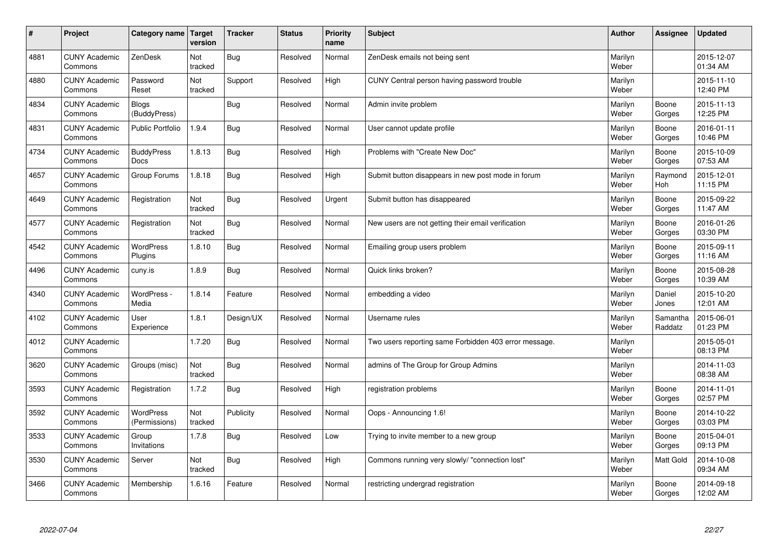| $\sharp$ | Project                         | Category name   Target            | version        | <b>Tracker</b> | <b>Status</b> | <b>Priority</b><br>name | <b>Subject</b>                                        | <b>Author</b>    | Assignee            | <b>Updated</b>         |
|----------|---------------------------------|-----------------------------------|----------------|----------------|---------------|-------------------------|-------------------------------------------------------|------------------|---------------------|------------------------|
| 4881     | <b>CUNY Academic</b><br>Commons | ZenDesk                           | Not<br>tracked | Bug            | Resolved      | Normal                  | ZenDesk emails not being sent                         | Marilyn<br>Weber |                     | 2015-12-07<br>01:34 AM |
| 4880     | <b>CUNY Academic</b><br>Commons | Password<br>Reset                 | Not<br>tracked | Support        | Resolved      | High                    | CUNY Central person having password trouble           | Marilyn<br>Weber |                     | 2015-11-10<br>12:40 PM |
| 4834     | <b>CUNY Academic</b><br>Commons | Blogs<br>(BuddyPress)             |                | Bug            | Resolved      | Normal                  | Admin invite problem                                  | Marilyn<br>Weber | Boone<br>Gorges     | 2015-11-13<br>12:25 PM |
| 4831     | <b>CUNY Academic</b><br>Commons | <b>Public Portfolio</b>           | 1.9.4          | Bug            | Resolved      | Normal                  | User cannot update profile                            | Marilyn<br>Weber | Boone<br>Gorges     | 2016-01-11<br>10:46 PM |
| 4734     | <b>CUNY Academic</b><br>Commons | <b>BuddyPress</b><br>Docs         | 1.8.13         | Bug            | Resolved      | High                    | Problems with "Create New Doc"                        | Marilyn<br>Weber | Boone<br>Gorges     | 2015-10-09<br>07:53 AM |
| 4657     | <b>CUNY Academic</b><br>Commons | Group Forums                      | 1.8.18         | Bug            | Resolved      | High                    | Submit button disappears in new post mode in forum    | Marilyn<br>Weber | Raymond<br>Hoh      | 2015-12-01<br>11:15 PM |
| 4649     | <b>CUNY Academic</b><br>Commons | Registration                      | Not<br>tracked | Bug            | Resolved      | Urgent                  | Submit button has disappeared                         | Marilyn<br>Weber | Boone<br>Gorges     | 2015-09-22<br>11:47 AM |
| 4577     | <b>CUNY Academic</b><br>Commons | Registration                      | Not<br>tracked | Bug            | Resolved      | Normal                  | New users are not getting their email verification    | Marilyn<br>Weber | Boone<br>Gorges     | 2016-01-26<br>03:30 PM |
| 4542     | <b>CUNY Academic</b><br>Commons | <b>WordPress</b><br>Plugins       | 1.8.10         | Bug            | Resolved      | Normal                  | Emailing group users problem                          | Marilyn<br>Weber | Boone<br>Gorges     | 2015-09-11<br>11:16 AM |
| 4496     | <b>CUNY Academic</b><br>Commons | cuny.is                           | 1.8.9          | Bug            | Resolved      | Normal                  | Quick links broken?                                   | Marilyn<br>Weber | Boone<br>Gorges     | 2015-08-28<br>10:39 AM |
| 4340     | <b>CUNY Academic</b><br>Commons | WordPress -<br>Media              | 1.8.14         | Feature        | Resolved      | Normal                  | embedding a video                                     | Marilyn<br>Weber | Daniel<br>Jones     | 2015-10-20<br>12:01 AM |
| 4102     | <b>CUNY Academic</b><br>Commons | User<br>Experience                | 1.8.1          | Design/UX      | Resolved      | Normal                  | Username rules                                        | Marilyn<br>Weber | Samantha<br>Raddatz | 2015-06-01<br>01:23 PM |
| 4012     | <b>CUNY Academic</b><br>Commons |                                   | 1.7.20         | Bug            | Resolved      | Normal                  | Two users reporting same Forbidden 403 error message. | Marilyn<br>Weber |                     | 2015-05-01<br>08:13 PM |
| 3620     | <b>CUNY Academic</b><br>Commons | Groups (misc)                     | Not<br>tracked | Bug            | Resolved      | Normal                  | admins of The Group for Group Admins                  | Marilyn<br>Weber |                     | 2014-11-03<br>08:38 AM |
| 3593     | <b>CUNY Academic</b><br>Commons | Registration                      | 1.7.2          | Bug            | Resolved      | High                    | registration problems                                 | Marilyn<br>Weber | Boone<br>Gorges     | 2014-11-01<br>02:57 PM |
| 3592     | <b>CUNY Academic</b><br>Commons | <b>WordPress</b><br>(Permissions) | Not<br>tracked | Publicity      | Resolved      | Normal                  | Oops - Announcing 1.6!                                | Marilyn<br>Weber | Boone<br>Gorges     | 2014-10-22<br>03:03 PM |
| 3533     | <b>CUNY Academic</b><br>Commons | Group<br>Invitations              | 1.7.8          | Bug            | Resolved      | Low                     | Trying to invite member to a new group                | Marilyn<br>Weber | Boone<br>Gorges     | 2015-04-01<br>09:13 PM |
| 3530     | <b>CUNY Academic</b><br>Commons | Server                            | Not<br>tracked | Bug            | Resolved      | High                    | Commons running very slowly/ "connection lost"        | Marilyn<br>Weber | <b>Matt Gold</b>    | 2014-10-08<br>09:34 AM |
| 3466     | <b>CUNY Academic</b><br>Commons | Membership                        | 1.6.16         | Feature        | Resolved      | Normal                  | restricting undergrad registration                    | Marilyn<br>Weber | Boone<br>Gorges     | 2014-09-18<br>12:02 AM |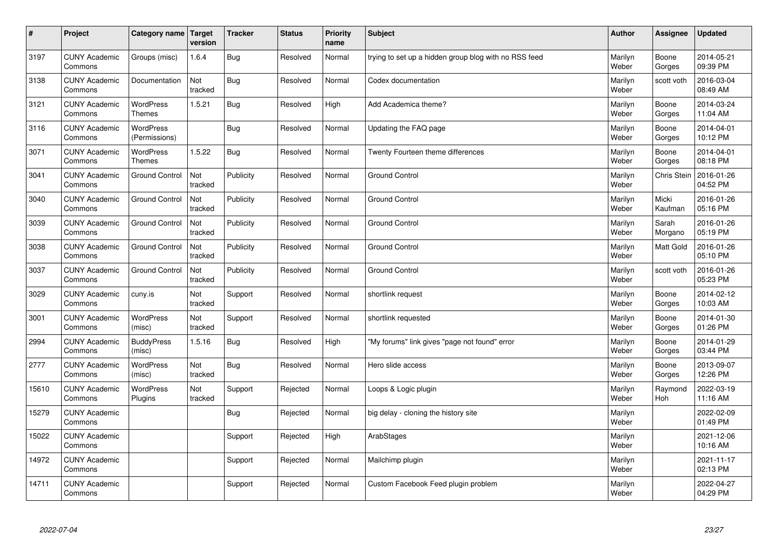| $\sharp$ | Project                         | Category name   Target            | version        | <b>Tracker</b> | <b>Status</b> | <b>Priority</b><br>name | <b>Subject</b>                                        | <b>Author</b>    | Assignee           | <b>Updated</b>         |
|----------|---------------------------------|-----------------------------------|----------------|----------------|---------------|-------------------------|-------------------------------------------------------|------------------|--------------------|------------------------|
| 3197     | <b>CUNY Academic</b><br>Commons | Groups (misc)                     | 1.6.4          | Bug            | Resolved      | Normal                  | trying to set up a hidden group blog with no RSS feed | Marilyn<br>Weber | Boone<br>Gorges    | 2014-05-21<br>09:39 PM |
| 3138     | <b>CUNY Academic</b><br>Commons | Documentation                     | Not<br>tracked | Bug            | Resolved      | Normal                  | Codex documentation                                   | Marilyn<br>Weber | scott voth         | 2016-03-04<br>08:49 AM |
| 3121     | <b>CUNY Academic</b><br>Commons | <b>WordPress</b><br><b>Themes</b> | 1.5.21         | Bug            | Resolved      | High                    | Add Academica theme?                                  | Marilyn<br>Weber | Boone<br>Gorges    | 2014-03-24<br>11:04 AM |
| 3116     | <b>CUNY Academic</b><br>Commons | <b>WordPress</b><br>(Permissions) |                | <b>Bug</b>     | Resolved      | Normal                  | Updating the FAQ page                                 | Marilyn<br>Weber | Boone<br>Gorges    | 2014-04-01<br>10:12 PM |
| 3071     | <b>CUNY Academic</b><br>Commons | <b>WordPress</b><br><b>Themes</b> | 1.5.22         | Bug            | Resolved      | Normal                  | Twenty Fourteen theme differences                     | Marilyn<br>Weber | Boone<br>Gorges    | 2014-04-01<br>08:18 PM |
| 3041     | <b>CUNY Academic</b><br>Commons | <b>Ground Control</b>             | Not<br>tracked | Publicity      | Resolved      | Normal                  | Ground Control                                        | Marilyn<br>Weber | <b>Chris Stein</b> | 2016-01-26<br>04:52 PM |
| 3040     | <b>CUNY Academic</b><br>Commons | <b>Ground Control</b>             | Not<br>tracked | Publicity      | Resolved      | Normal                  | <b>Ground Control</b>                                 | Marilyn<br>Weber | Micki<br>Kaufman   | 2016-01-26<br>05:16 PM |
| 3039     | <b>CUNY Academic</b><br>Commons | <b>Ground Control</b>             | Not<br>tracked | Publicity      | Resolved      | Normal                  | <b>Ground Control</b>                                 | Marilyn<br>Weber | Sarah<br>Morgano   | 2016-01-26<br>05:19 PM |
| 3038     | <b>CUNY Academic</b><br>Commons | <b>Ground Control</b>             | Not<br>tracked | Publicity      | Resolved      | Normal                  | <b>Ground Control</b>                                 | Marilyn<br>Weber | <b>Matt Gold</b>   | 2016-01-26<br>05:10 PM |
| 3037     | <b>CUNY Academic</b><br>Commons | <b>Ground Control</b>             | Not<br>tracked | Publicity      | Resolved      | Normal                  | <b>Ground Control</b>                                 | Marilyn<br>Weber | scott voth         | 2016-01-26<br>05:23 PM |
| 3029     | <b>CUNY Academic</b><br>Commons | cuny.is                           | Not<br>tracked | Support        | Resolved      | Normal                  | shortlink request                                     | Marilyn<br>Weber | Boone<br>Gorges    | 2014-02-12<br>10:03 AM |
| 3001     | <b>CUNY Academic</b><br>Commons | <b>WordPress</b><br>(misc)        | Not<br>tracked | Support        | Resolved      | Normal                  | shortlink requested                                   | Marilyn<br>Weber | Boone<br>Gorges    | 2014-01-30<br>01:26 PM |
| 2994     | <b>CUNY Academic</b><br>Commons | <b>BuddyPress</b><br>(misc)       | 1.5.16         | <b>Bug</b>     | Resolved      | High                    | "My forums" link gives "page not found" error         | Marilyn<br>Weber | Boone<br>Gorges    | 2014-01-29<br>03:44 PM |
| 2777     | <b>CUNY Academic</b><br>Commons | WordPress<br>(misc)               | Not<br>tracked | Bug            | Resolved      | Normal                  | Hero slide access                                     | Marilyn<br>Weber | Boone<br>Gorges    | 2013-09-07<br>12:26 PM |
| 15610    | <b>CUNY Academic</b><br>Commons | <b>WordPress</b><br>Plugins       | Not<br>tracked | Support        | Rejected      | Normal                  | Loops & Logic plugin                                  | Marilyn<br>Weber | Raymond<br>Hoh     | 2022-03-19<br>11:16 AM |
| 15279    | <b>CUNY Academic</b><br>Commons |                                   |                | Bug            | Rejected      | Normal                  | big delay - cloning the history site                  | Marilyn<br>Weber |                    | 2022-02-09<br>01:49 PM |
| 15022    | <b>CUNY Academic</b><br>Commons |                                   |                | Support        | Rejected      | High                    | ArabStages                                            | Marilyn<br>Weber |                    | 2021-12-06<br>10:16 AM |
| 14972    | <b>CUNY Academic</b><br>Commons |                                   |                | Support        | Rejected      | Normal                  | Mailchimp plugin                                      | Marilyn<br>Weber |                    | 2021-11-17<br>02:13 PM |
| 14711    | <b>CUNY Academic</b><br>Commons |                                   |                | Support        | Rejected      | Normal                  | Custom Facebook Feed plugin problem                   | Marilyn<br>Weber |                    | 2022-04-27<br>04:29 PM |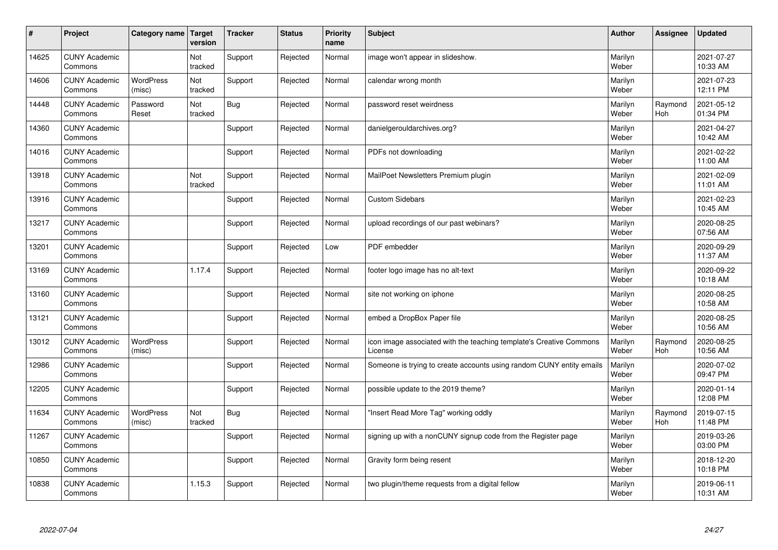| $\sharp$ | Project                         | Category name   Target     | version        | <b>Tracker</b> | <b>Status</b> | <b>Priority</b><br>name | <b>Subject</b>                                                                 | <b>Author</b>    | <b>Assignee</b>       | <b>Updated</b>         |
|----------|---------------------------------|----------------------------|----------------|----------------|---------------|-------------------------|--------------------------------------------------------------------------------|------------------|-----------------------|------------------------|
| 14625    | <b>CUNY Academic</b><br>Commons |                            | Not<br>tracked | Support        | Rejected      | Normal                  | image won't appear in slideshow.                                               | Marilyn<br>Weber |                       | 2021-07-27<br>10:33 AM |
| 14606    | <b>CUNY Academic</b><br>Commons | <b>WordPress</b><br>(misc) | Not<br>tracked | Support        | Rejected      | Normal                  | calendar wrong month                                                           | Marilyn<br>Weber |                       | 2021-07-23<br>12:11 PM |
| 14448    | <b>CUNY Academic</b><br>Commons | Password<br>Reset          | Not<br>tracked | Bug            | Rejected      | Normal                  | password reset weirdness                                                       | Marilyn<br>Weber | Raymond<br><b>Hoh</b> | 2021-05-12<br>01:34 PM |
| 14360    | <b>CUNY Academic</b><br>Commons |                            |                | Support        | Rejected      | Normal                  | danielgerouldarchives.org?                                                     | Marilyn<br>Weber |                       | 2021-04-27<br>10:42 AM |
| 14016    | <b>CUNY Academic</b><br>Commons |                            |                | Support        | Rejected      | Normal                  | PDFs not downloading                                                           | Marilyn<br>Weber |                       | 2021-02-22<br>11:00 AM |
| 13918    | <b>CUNY Academic</b><br>Commons |                            | Not<br>tracked | Support        | Rejected      | Normal                  | MailPoet Newsletters Premium plugin                                            | Marilyn<br>Weber |                       | 2021-02-09<br>11:01 AM |
| 13916    | <b>CUNY Academic</b><br>Commons |                            |                | Support        | Rejected      | Normal                  | <b>Custom Sidebars</b>                                                         | Marilyn<br>Weber |                       | 2021-02-23<br>10:45 AM |
| 13217    | <b>CUNY Academic</b><br>Commons |                            |                | Support        | Rejected      | Normal                  | upload recordings of our past webinars?                                        | Marilyn<br>Weber |                       | 2020-08-25<br>07:56 AM |
| 13201    | <b>CUNY Academic</b><br>Commons |                            |                | Support        | Rejected      | Low                     | PDF embedder                                                                   | Marilyn<br>Weber |                       | 2020-09-29<br>11:37 AM |
| 13169    | <b>CUNY Academic</b><br>Commons |                            | 1.17.4         | Support        | Rejected      | Normal                  | footer logo image has no alt-text                                              | Marilyn<br>Weber |                       | 2020-09-22<br>10:18 AM |
| 13160    | <b>CUNY Academic</b><br>Commons |                            |                | Support        | Rejected      | Normal                  | site not working on iphone                                                     | Marilyn<br>Weber |                       | 2020-08-25<br>10:58 AM |
| 13121    | <b>CUNY Academic</b><br>Commons |                            |                | Support        | Rejected      | Normal                  | embed a DropBox Paper file                                                     | Marilyn<br>Weber |                       | 2020-08-25<br>10:56 AM |
| 13012    | <b>CUNY Academic</b><br>Commons | <b>WordPress</b><br>(misc) |                | Support        | Rejected      | Normal                  | icon image associated with the teaching template's Creative Commons<br>License | Marilyn<br>Weber | Raymond<br>Hoh        | 2020-08-25<br>10:56 AM |
| 12986    | <b>CUNY Academic</b><br>Commons |                            |                | Support        | Rejected      | Normal                  | Someone is trying to create accounts using random CUNY entity emails           | Marilyn<br>Weber |                       | 2020-07-02<br>09:47 PM |
| 12205    | <b>CUNY Academic</b><br>Commons |                            |                | Support        | Rejected      | Normal                  | possible update to the 2019 theme?                                             | Marilyn<br>Weber |                       | 2020-01-14<br>12:08 PM |
| 11634    | <b>CUNY Academic</b><br>Commons | <b>WordPress</b><br>(misc) | Not<br>tracked | Bug            | Rejected      | Normal                  | "Insert Read More Tag" working oddly                                           | Marilyn<br>Weber | Raymond<br><b>Hoh</b> | 2019-07-15<br>11:48 PM |
| 11267    | <b>CUNY Academic</b><br>Commons |                            |                | Support        | Rejected      | Normal                  | signing up with a nonCUNY signup code from the Register page                   | Marilyn<br>Weber |                       | 2019-03-26<br>03:00 PM |
| 10850    | <b>CUNY Academic</b><br>Commons |                            |                | Support        | Rejected      | Normal                  | Gravity form being resent                                                      | Marilyn<br>Weber |                       | 2018-12-20<br>10:18 PM |
| 10838    | <b>CUNY Academic</b><br>Commons |                            | 1.15.3         | Support        | Rejected      | Normal                  | two plugin/theme requests from a digital fellow                                | Marilyn<br>Weber |                       | 2019-06-11<br>10:31 AM |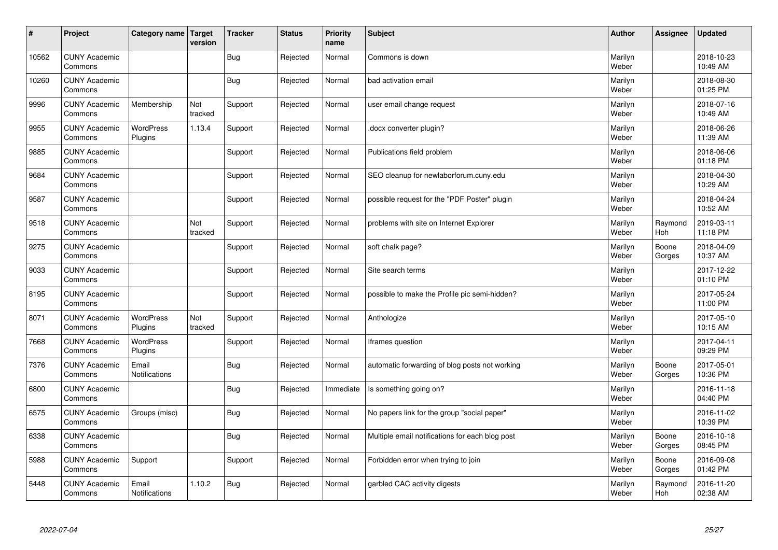| #     | Project                         | Category name   Target        | version        | <b>Tracker</b> | <b>Status</b> | <b>Priority</b><br>name | <b>Subject</b>                                  | <b>Author</b>    | Assignee        | <b>Updated</b>         |
|-------|---------------------------------|-------------------------------|----------------|----------------|---------------|-------------------------|-------------------------------------------------|------------------|-----------------|------------------------|
| 10562 | <b>CUNY Academic</b><br>Commons |                               |                | <b>Bug</b>     | Rejected      | Normal                  | Commons is down                                 | Marilyn<br>Weber |                 | 2018-10-23<br>10:49 AM |
| 10260 | <b>CUNY Academic</b><br>Commons |                               |                | <b>Bug</b>     | Rejected      | Normal                  | bad activation email                            | Marilyn<br>Weber |                 | 2018-08-30<br>01:25 PM |
| 9996  | <b>CUNY Academic</b><br>Commons | Membership                    | Not<br>tracked | Support        | Rejected      | Normal                  | user email change request                       | Marilyn<br>Weber |                 | 2018-07-16<br>10:49 AM |
| 9955  | <b>CUNY Academic</b><br>Commons | <b>WordPress</b><br>Plugins   | 1.13.4         | Support        | Rejected      | Normal                  | docx converter plugin?                          | Marilyn<br>Weber |                 | 2018-06-26<br>11:39 AM |
| 9885  | <b>CUNY Academic</b><br>Commons |                               |                | Support        | Rejected      | Normal                  | Publications field problem                      | Marilyn<br>Weber |                 | 2018-06-06<br>01:18 PM |
| 9684  | <b>CUNY Academic</b><br>Commons |                               |                | Support        | Rejected      | Normal                  | SEO cleanup for newlaborforum.cuny.edu          | Marilyn<br>Weber |                 | 2018-04-30<br>10:29 AM |
| 9587  | <b>CUNY Academic</b><br>Commons |                               |                | Support        | Rejected      | Normal                  | possible request for the "PDF Poster" plugin    | Marilyn<br>Weber |                 | 2018-04-24<br>10:52 AM |
| 9518  | <b>CUNY Academic</b><br>Commons |                               | Not<br>tracked | Support        | Rejected      | Normal                  | problems with site on Internet Explorer         | Marilyn<br>Weber | Raymond<br>Hoh  | 2019-03-11<br>11:18 PM |
| 9275  | <b>CUNY Academic</b><br>Commons |                               |                | Support        | Rejected      | Normal                  | soft chalk page?                                | Marilyn<br>Weber | Boone<br>Gorges | 2018-04-09<br>10:37 AM |
| 9033  | <b>CUNY Academic</b><br>Commons |                               |                | Support        | Rejected      | Normal                  | Site search terms                               | Marilyn<br>Weber |                 | 2017-12-22<br>01:10 PM |
| 8195  | <b>CUNY Academic</b><br>Commons |                               |                | Support        | Rejected      | Normal                  | possible to make the Profile pic semi-hidden?   | Marilyn<br>Weber |                 | 2017-05-24<br>11:00 PM |
| 8071  | <b>CUNY Academic</b><br>Commons | WordPress<br>Plugins          | Not<br>tracked | Support        | Rejected      | Normal                  | Anthologize                                     | Marilyn<br>Weber |                 | 2017-05-10<br>10:15 AM |
| 7668  | <b>CUNY Academic</b><br>Commons | <b>WordPress</b><br>Plugins   |                | Support        | Rejected      | Normal                  | Iframes question                                | Marilyn<br>Weber |                 | 2017-04-11<br>09:29 PM |
| 7376  | <b>CUNY Academic</b><br>Commons | Email<br><b>Notifications</b> |                | <b>Bug</b>     | Rejected      | Normal                  | automatic forwarding of blog posts not working  | Marilyn<br>Weber | Boone<br>Gorges | 2017-05-01<br>10:36 PM |
| 6800  | <b>CUNY Academic</b><br>Commons |                               |                | <b>Bug</b>     | Rejected      | Immediate               | Is something going on?                          | Marilyn<br>Weber |                 | 2016-11-18<br>04:40 PM |
| 6575  | <b>CUNY Academic</b><br>Commons | Groups (misc)                 |                | Bug            | Rejected      | Normal                  | No papers link for the group "social paper"     | Marilyn<br>Weber |                 | 2016-11-02<br>10:39 PM |
| 6338  | <b>CUNY Academic</b><br>Commons |                               |                | <b>Bug</b>     | Rejected      | Normal                  | Multiple email notifications for each blog post | Marilyn<br>Weber | Boone<br>Gorges | 2016-10-18<br>08:45 PM |
| 5988  | <b>CUNY Academic</b><br>Commons | Support                       |                | Support        | Rejected      | Normal                  | Forbidden error when trying to join             | Marilyn<br>Weber | Boone<br>Gorges | 2016-09-08<br>01:42 PM |
| 5448  | <b>CUNY Academic</b><br>Commons | Email<br><b>Notifications</b> | 1.10.2         | Bug            | Rejected      | Normal                  | garbled CAC activity digests                    | Marilyn<br>Weber | Raymond<br>Hoh  | 2016-11-20<br>02:38 AM |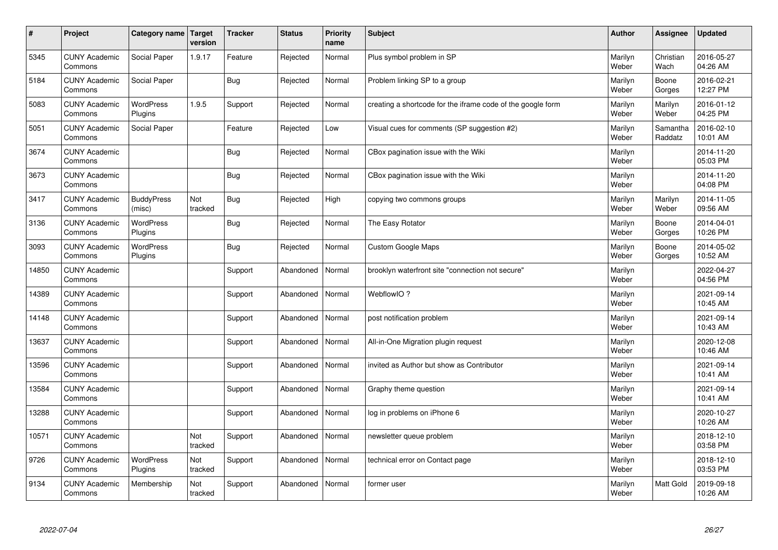| $\sharp$ | Project                         | Category name   Target      | version        | <b>Tracker</b> | <b>Status</b> | <b>Priority</b><br>name | <b>Subject</b>                                              | <b>Author</b>    | <b>Assignee</b>     | <b>Updated</b>         |
|----------|---------------------------------|-----------------------------|----------------|----------------|---------------|-------------------------|-------------------------------------------------------------|------------------|---------------------|------------------------|
| 5345     | <b>CUNY Academic</b><br>Commons | Social Paper                | 1.9.17         | Feature        | Rejected      | Normal                  | Plus symbol problem in SP                                   | Marilyn<br>Weber | Christian<br>Wach   | 2016-05-27<br>04:26 AM |
| 5184     | <b>CUNY Academic</b><br>Commons | Social Paper                |                | Bug            | Rejected      | Normal                  | Problem linking SP to a group                               | Marilyn<br>Weber | Boone<br>Gorges     | 2016-02-21<br>12:27 PM |
| 5083     | <b>CUNY Academic</b><br>Commons | <b>WordPress</b><br>Plugins | 1.9.5          | Support        | Rejected      | Normal                  | creating a shortcode for the iframe code of the google form | Marilyn<br>Weber | Marilyn<br>Weber    | 2016-01-12<br>04:25 PM |
| 5051     | <b>CUNY Academic</b><br>Commons | Social Paper                |                | Feature        | Rejected      | Low                     | Visual cues for comments (SP suggestion #2)                 | Marilyn<br>Weber | Samantha<br>Raddatz | 2016-02-10<br>10:01 AM |
| 3674     | <b>CUNY Academic</b><br>Commons |                             |                | Bug            | Rejected      | Normal                  | CBox pagination issue with the Wiki                         | Marilyn<br>Weber |                     | 2014-11-20<br>05:03 PM |
| 3673     | <b>CUNY Academic</b><br>Commons |                             |                | Bug            | Rejected      | Normal                  | CBox pagination issue with the Wiki                         | Marilyn<br>Weber |                     | 2014-11-20<br>04:08 PM |
| 3417     | <b>CUNY Academic</b><br>Commons | <b>BuddyPress</b><br>(misc) | Not<br>tracked | Bug            | Rejected      | High                    | copying two commons groups                                  | Marilyn<br>Weber | Marilyn<br>Weber    | 2014-11-05<br>09:56 AM |
| 3136     | <b>CUNY Academic</b><br>Commons | WordPress<br>Plugins        |                | Bug            | Rejected      | Normal                  | The Easy Rotator                                            | Marilyn<br>Weber | Boone<br>Gorges     | 2014-04-01<br>10:26 PM |
| 3093     | <b>CUNY Academic</b><br>Commons | <b>WordPress</b><br>Plugins |                | Bug            | Rejected      | Normal                  | <b>Custom Google Maps</b>                                   | Marilyn<br>Weber | Boone<br>Gorges     | 2014-05-02<br>10:52 AM |
| 14850    | <b>CUNY Academic</b><br>Commons |                             |                | Support        | Abandoned     | Normal                  | brooklyn waterfront site "connection not secure"            | Marilyn<br>Weber |                     | 2022-04-27<br>04:56 PM |
| 14389    | <b>CUNY Academic</b><br>Commons |                             |                | Support        | Abandoned     | Normal                  | WebflowIO?                                                  | Marilyn<br>Weber |                     | 2021-09-14<br>10:45 AM |
| 14148    | <b>CUNY Academic</b><br>Commons |                             |                | Support        | Abandoned     | Normal                  | post notification problem                                   | Marilyn<br>Weber |                     | 2021-09-14<br>10:43 AM |
| 13637    | <b>CUNY Academic</b><br>Commons |                             |                | Support        | Abandoned     | Normal                  | All-in-One Migration plugin request                         | Marilyn<br>Weber |                     | 2020-12-08<br>10:46 AM |
| 13596    | <b>CUNY Academic</b><br>Commons |                             |                | Support        | Abandoned     | Normal                  | invited as Author but show as Contributor                   | Marilyn<br>Weber |                     | 2021-09-14<br>10:41 AM |
| 13584    | <b>CUNY Academic</b><br>Commons |                             |                | Support        | Abandoned     | Normal                  | Graphy theme question                                       | Marilyn<br>Weber |                     | 2021-09-14<br>10:41 AM |
| 13288    | <b>CUNY Academic</b><br>Commons |                             |                | Support        | Abandoned     | Normal                  | log in problems on iPhone 6                                 | Marilyn<br>Weber |                     | 2020-10-27<br>10:26 AM |
| 10571    | <b>CUNY Academic</b><br>Commons |                             | Not<br>tracked | Support        | Abandoned     | Normal                  | newsletter queue problem                                    | Marilyn<br>Weber |                     | 2018-12-10<br>03:58 PM |
| 9726     | <b>CUNY Academic</b><br>Commons | <b>WordPress</b><br>Plugins | Not<br>tracked | Support        | Abandoned     | Normal                  | technical error on Contact page                             | Marilyn<br>Weber |                     | 2018-12-10<br>03:53 PM |
| 9134     | <b>CUNY Academic</b><br>Commons | Membership                  | Not<br>tracked | Support        | Abandoned     | Normal                  | former user                                                 | Marilyn<br>Weber | <b>Matt Gold</b>    | 2019-09-18<br>10:26 AM |